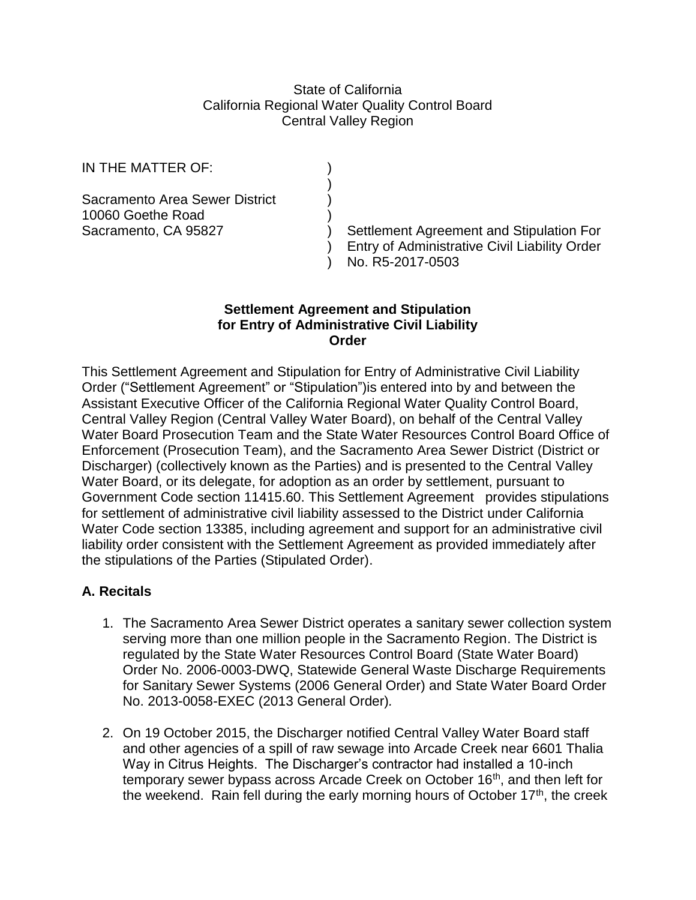### State of California California Regional Water Quality Control Board Central Valley Region

)

IN THE MATTER OF:

Sacramento Area Sewer District ) 10060 Goethe Road )

Sacramento, CA 95827 (and Stipulation For ) Settlement Agreement and Stipulation For ) Entry of Administrative Civil Liability Order ) No. R5-2017-0503

# **Settlement Agreement and Stipulation for Entry of Administrative Civil Liability Order**

This Settlement Agreement and Stipulation for Entry of Administrative Civil Liability Order ("Settlement Agreement" or "Stipulation")is entered into by and between the Assistant Executive Officer of the California Regional Water Quality Control Board, Central Valley Region (Central Valley Water Board), on behalf of the Central Valley Water Board Prosecution Team and the State Water Resources Control Board Office of Enforcement (Prosecution Team), and the Sacramento Area Sewer District (District or Discharger) (collectively known as the Parties) and is presented to the Central Valley Water Board, or its delegate, for adoption as an order by settlement, pursuant to Government Code section 11415.60. This Settlement Agreement provides stipulations for settlement of administrative civil liability assessed to the District under California Water Code section 13385, including agreement and support for an administrative civil liability order consistent with the Settlement Agreement as provided immediately after the stipulations of the Parties (Stipulated Order).

# **A. Recitals**

- 1. The Sacramento Area Sewer District operates a sanitary sewer collection system serving more than one million people in the Sacramento Region. The District is regulated by the State Water Resources Control Board (State Water Board) Order No. 2006-0003-DWQ, Statewide General Waste Discharge Requirements for Sanitary Sewer Systems (2006 General Order) and State Water Board Order No. 2013-0058-EXEC (2013 General Order)*.*
- 2. On 19 October 2015, the Discharger notified Central Valley Water Board staff and other agencies of a spill of raw sewage into Arcade Creek near 6601 Thalia Way in Citrus Heights. The Discharger's contractor had installed a 10-inch temporary sewer bypass across Arcade Creek on October 16<sup>th</sup>, and then left for the weekend. Rain fell during the early morning hours of October 17<sup>th</sup>, the creek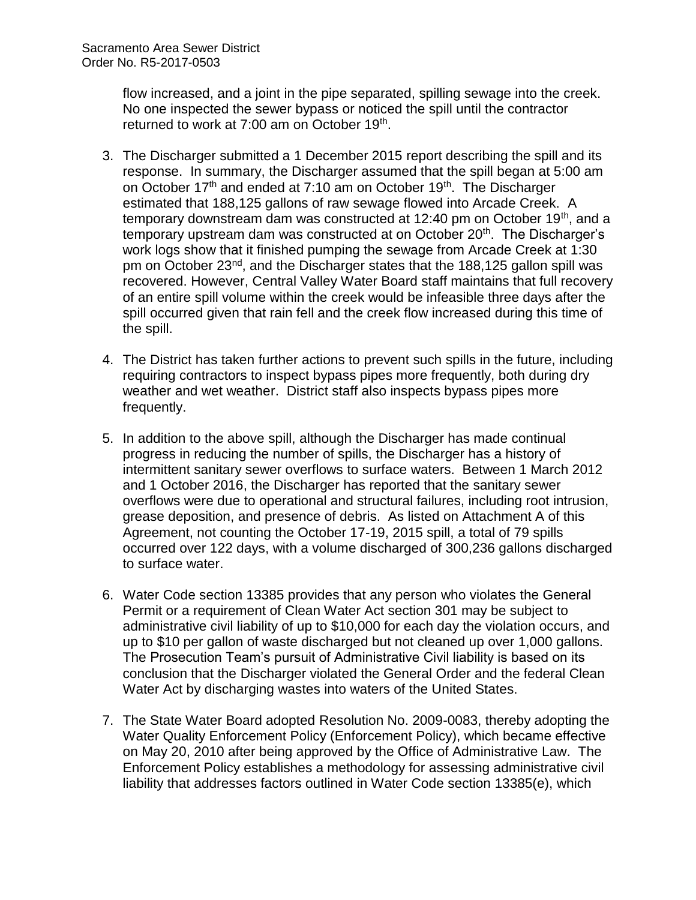flow increased, and a joint in the pipe separated, spilling sewage into the creek. No one inspected the sewer bypass or noticed the spill until the contractor returned to work at 7:00 am on October 19<sup>th</sup>.

- 3. The Discharger submitted a 1 December 2015 report describing the spill and its response. In summary, the Discharger assumed that the spill began at 5:00 am on October  $17<sup>th</sup>$  and ended at 7:10 am on October 19<sup>th</sup>. The Discharger estimated that 188,125 gallons of raw sewage flowed into Arcade Creek. A temporary downstream dam was constructed at 12:40 pm on October 19<sup>th</sup>, and a temporary upstream dam was constructed at on October 20<sup>th</sup>. The Discharger's work logs show that it finished pumping the sewage from Arcade Creek at 1:30 pm on October 23nd, and the Discharger states that the 188,125 gallon spill was recovered. However, Central Valley Water Board staff maintains that full recovery of an entire spill volume within the creek would be infeasible three days after the spill occurred given that rain fell and the creek flow increased during this time of the spill.
- 4. The District has taken further actions to prevent such spills in the future, including requiring contractors to inspect bypass pipes more frequently, both during dry weather and wet weather. District staff also inspects bypass pipes more frequently.
- 5. In addition to the above spill, although the Discharger has made continual progress in reducing the number of spills, the Discharger has a history of intermittent sanitary sewer overflows to surface waters. Between 1 March 2012 and 1 October 2016, the Discharger has reported that the sanitary sewer overflows were due to operational and structural failures, including root intrusion, grease deposition, and presence of debris. As listed on Attachment A of this Agreement, not counting the October 17-19, 2015 spill, a total of 79 spills occurred over 122 days, with a volume discharged of 300,236 gallons discharged to surface water.
- 6. Water Code section 13385 provides that any person who violates the General Permit or a requirement of Clean Water Act section 301 may be subject to administrative civil liability of up to \$10,000 for each day the violation occurs, and up to \$10 per gallon of waste discharged but not cleaned up over 1,000 gallons. The Prosecution Team's pursuit of Administrative Civil liability is based on its conclusion that the Discharger violated the General Order and the federal Clean Water Act by discharging wastes into waters of the United States.
- 7. The State Water Board adopted Resolution No. 2009-0083, thereby adopting the Water Quality Enforcement Policy (Enforcement Policy), which became effective on May 20, 2010 after being approved by the Office of Administrative Law. The Enforcement Policy establishes a methodology for assessing administrative civil liability that addresses factors outlined in Water Code section 13385(e), which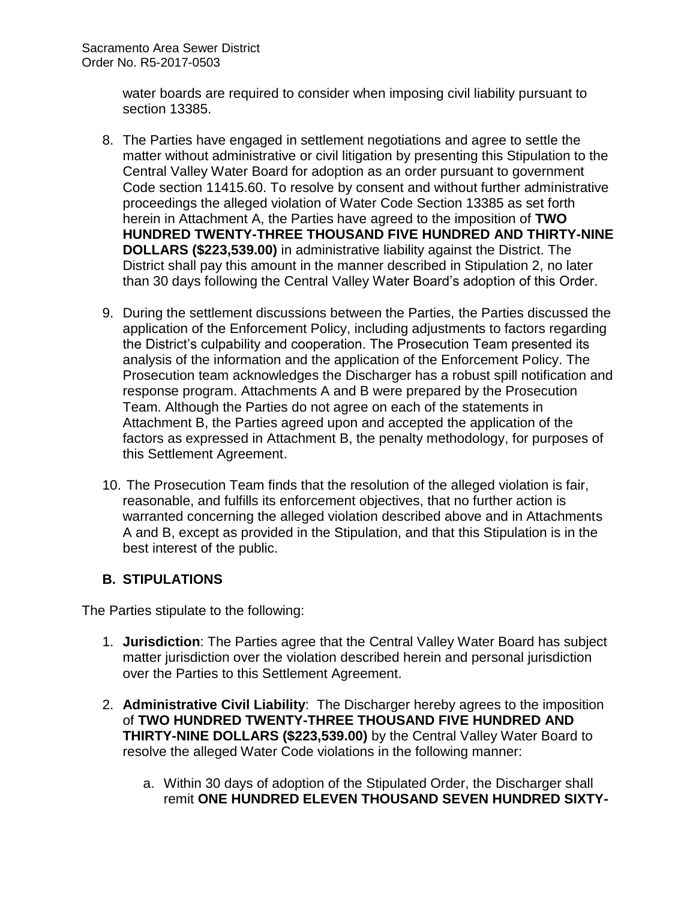water boards are required to consider when imposing civil liability pursuant to section 13385.

- 8. The Parties have engaged in settlement negotiations and agree to settle the matter without administrative or civil litigation by presenting this Stipulation to the Central Valley Water Board for adoption as an order pursuant to government Code section 11415.60. To resolve by consent and without further administrative proceedings the alleged violation of Water Code Section 13385 as set forth herein in Attachment A, the Parties have agreed to the imposition of **TWO HUNDRED TWENTY-THREE THOUSAND FIVE HUNDRED AND THIRTY-NINE DOLLARS (\$223,539.00)** in administrative liability against the District. The District shall pay this amount in the manner described in Stipulation 2, no later than 30 days following the Central Valley Water Board's adoption of this Order.
- 9. During the settlement discussions between the Parties, the Parties discussed the application of the Enforcement Policy, including adjustments to factors regarding the District's culpability and cooperation. The Prosecution Team presented its analysis of the information and the application of the Enforcement Policy. The Prosecution team acknowledges the Discharger has a robust spill notification and response program. Attachments A and B were prepared by the Prosecution Team. Although the Parties do not agree on each of the statements in Attachment B, the Parties agreed upon and accepted the application of the factors as expressed in Attachment B, the penalty methodology, for purposes of this Settlement Agreement.
- 10. The Prosecution Team finds that the resolution of the alleged violation is fair, reasonable, and fulfills its enforcement objectives, that no further action is warranted concerning the alleged violation described above and in Attachments A and B, except as provided in the Stipulation, and that this Stipulation is in the best interest of the public.

# **B. STIPULATIONS**

The Parties stipulate to the following:

- 1. **Jurisdiction**: The Parties agree that the Central Valley Water Board has subject matter jurisdiction over the violation described herein and personal jurisdiction over the Parties to this Settlement Agreement.
- 2. **Administrative Civil Liability**: The Discharger hereby agrees to the imposition of **TWO HUNDRED TWENTY-THREE THOUSAND FIVE HUNDRED AND THIRTY-NINE DOLLARS (\$223,539.00)** by the Central Valley Water Board to resolve the alleged Water Code violations in the following manner:
	- a. Within 30 days of adoption of the Stipulated Order, the Discharger shall remit **ONE HUNDRED ELEVEN THOUSAND SEVEN HUNDRED SIXTY-**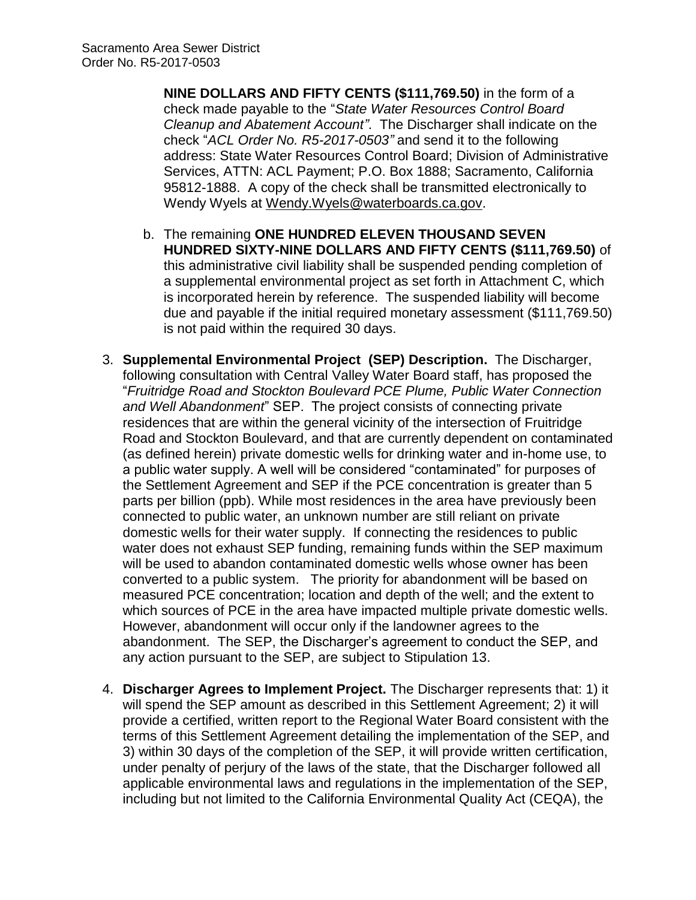**NINE DOLLARS AND FIFTY CENTS (\$111,769.50)** in the form of a check made payable to the "*State Water Resources Control Board Cleanup and Abatement Account"*. The Discharger shall indicate on the check "*ACL Order No. R5-2017-0503"* and send it to the following address: State Water Resources Control Board; Division of Administrative Services, ATTN: ACL Payment; P.O. Box 1888; Sacramento, California 95812-1888. A copy of the check shall be transmitted electronically to Wendy Wyels at [Wendy.Wyels@waterboards.ca.gov.](mailto:Wendy.Wyels@waterboards.ca.gov)

- b. The remaining **ONE HUNDRED ELEVEN THOUSAND SEVEN HUNDRED SIXTY-NINE DOLLARS AND FIFTY CENTS (\$111,769.50)** of this administrative civil liability shall be suspended pending completion of a supplemental environmental project as set forth in Attachment C, which is incorporated herein by reference. The suspended liability will become due and payable if the initial required monetary assessment (\$111,769.50) is not paid within the required 30 days.
- 3. **Supplemental Environmental Project (SEP) Description.** The Discharger, following consultation with Central Valley Water Board staff, has proposed the "*Fruitridge Road and Stockton Boulevard PCE Plume, Public Water Connection and Well Abandonment*" SEP. The project consists of connecting private residences that are within the general vicinity of the intersection of Fruitridge Road and Stockton Boulevard, and that are currently dependent on contaminated (as defined herein) private domestic wells for drinking water and in-home use, to a public water supply. A well will be considered "contaminated" for purposes of the Settlement Agreement and SEP if the PCE concentration is greater than 5 parts per billion (ppb). While most residences in the area have previously been connected to public water, an unknown number are still reliant on private domestic wells for their water supply. If connecting the residences to public water does not exhaust SEP funding, remaining funds within the SEP maximum will be used to abandon contaminated domestic wells whose owner has been converted to a public system. The priority for abandonment will be based on measured PCE concentration; location and depth of the well; and the extent to which sources of PCE in the area have impacted multiple private domestic wells. However, abandonment will occur only if the landowner agrees to the abandonment. The SEP, the Discharger's agreement to conduct the SEP, and any action pursuant to the SEP, are subject to Stipulation 13.
- 4. **Discharger Agrees to Implement Project.** The Discharger represents that: 1) it will spend the SEP amount as described in this Settlement Agreement; 2) it will provide a certified, written report to the Regional Water Board consistent with the terms of this Settlement Agreement detailing the implementation of the SEP, and 3) within 30 days of the completion of the SEP, it will provide written certification, under penalty of perjury of the laws of the state, that the Discharger followed all applicable environmental laws and regulations in the implementation of the SEP, including but not limited to the California Environmental Quality Act (CEQA), the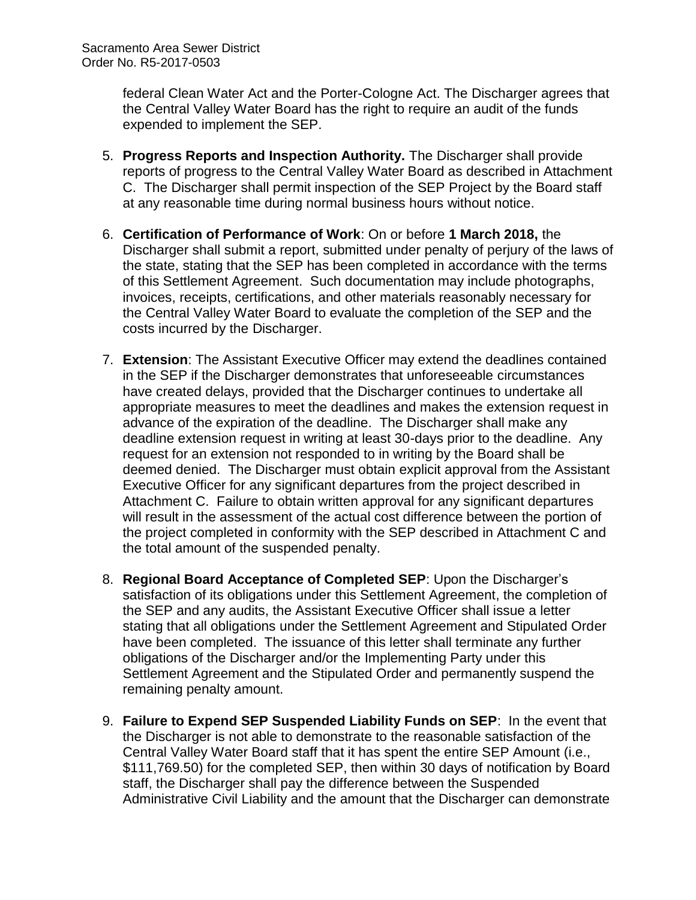federal Clean Water Act and the Porter-Cologne Act. The Discharger agrees that the Central Valley Water Board has the right to require an audit of the funds expended to implement the SEP.

- 5. **Progress Reports and Inspection Authority.** The Discharger shall provide reports of progress to the Central Valley Water Board as described in Attachment C. The Discharger shall permit inspection of the SEP Project by the Board staff at any reasonable time during normal business hours without notice.
- 6. **Certification of Performance of Work**: On or before **1 March 2018,** the Discharger shall submit a report, submitted under penalty of perjury of the laws of the state, stating that the SEP has been completed in accordance with the terms of this Settlement Agreement. Such documentation may include photographs, invoices, receipts, certifications, and other materials reasonably necessary for the Central Valley Water Board to evaluate the completion of the SEP and the costs incurred by the Discharger.
- 7. **Extension**: The Assistant Executive Officer may extend the deadlines contained in the SEP if the Discharger demonstrates that unforeseeable circumstances have created delays, provided that the Discharger continues to undertake all appropriate measures to meet the deadlines and makes the extension request in advance of the expiration of the deadline. The Discharger shall make any deadline extension request in writing at least 30-days prior to the deadline. Any request for an extension not responded to in writing by the Board shall be deemed denied. The Discharger must obtain explicit approval from the Assistant Executive Officer for any significant departures from the project described in Attachment C. Failure to obtain written approval for any significant departures will result in the assessment of the actual cost difference between the portion of the project completed in conformity with the SEP described in Attachment C and the total amount of the suspended penalty.
- 8. **Regional Board Acceptance of Completed SEP**: Upon the Discharger's satisfaction of its obligations under this Settlement Agreement, the completion of the SEP and any audits, the Assistant Executive Officer shall issue a letter stating that all obligations under the Settlement Agreement and Stipulated Order have been completed. The issuance of this letter shall terminate any further obligations of the Discharger and/or the Implementing Party under this Settlement Agreement and the Stipulated Order and permanently suspend the remaining penalty amount.
- 9. **Failure to Expend SEP Suspended Liability Funds on SEP**: In the event that the Discharger is not able to demonstrate to the reasonable satisfaction of the Central Valley Water Board staff that it has spent the entire SEP Amount (i.e., \$111,769.50) for the completed SEP, then within 30 days of notification by Board staff, the Discharger shall pay the difference between the Suspended Administrative Civil Liability and the amount that the Discharger can demonstrate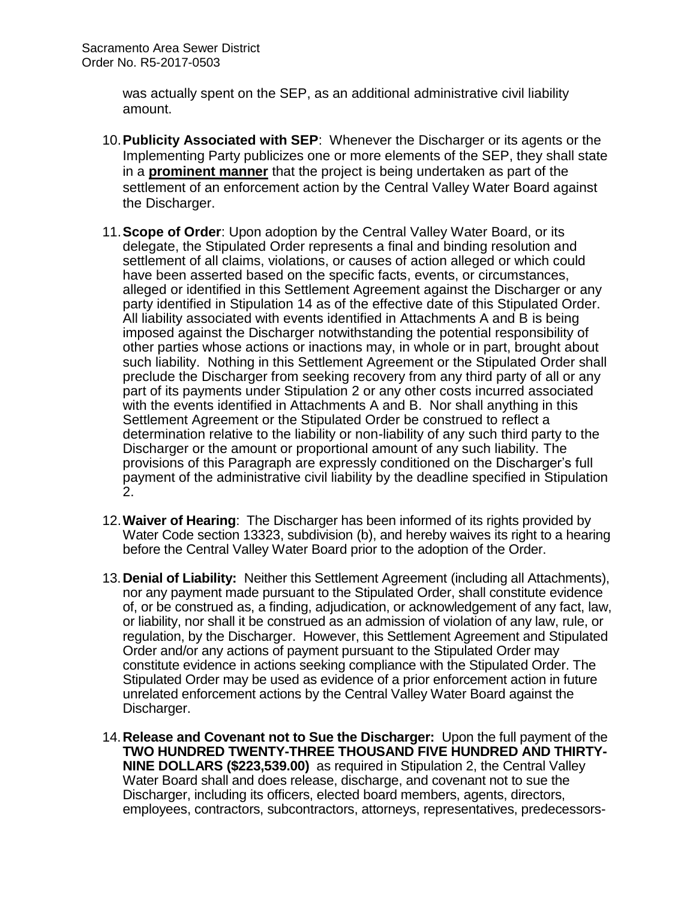was actually spent on the SEP, as an additional administrative civil liability amount.

- 10.**Publicity Associated with SEP**: Whenever the Discharger or its agents or the Implementing Party publicizes one or more elements of the SEP, they shall state in a **prominent manner** that the project is being undertaken as part of the settlement of an enforcement action by the Central Valley Water Board against the Discharger.
- 11.**Scope of Order**: Upon adoption by the Central Valley Water Board, or its delegate, the Stipulated Order represents a final and binding resolution and settlement of all claims, violations, or causes of action alleged or which could have been asserted based on the specific facts, events, or circumstances, alleged or identified in this Settlement Agreement against the Discharger or any party identified in Stipulation 14 as of the effective date of this Stipulated Order. All liability associated with events identified in Attachments A and B is being imposed against the Discharger notwithstanding the potential responsibility of other parties whose actions or inactions may, in whole or in part, brought about such liability. Nothing in this Settlement Agreement or the Stipulated Order shall preclude the Discharger from seeking recovery from any third party of all or any part of its payments under Stipulation 2 or any other costs incurred associated with the events identified in Attachments A and B. Nor shall anything in this Settlement Agreement or the Stipulated Order be construed to reflect a determination relative to the liability or non-liability of any such third party to the Discharger or the amount or proportional amount of any such liability. The provisions of this Paragraph are expressly conditioned on the Discharger's full payment of the administrative civil liability by the deadline specified in Stipulation 2.
- 12.**Waiver of Hearing**: The Discharger has been informed of its rights provided by Water Code section 13323, subdivision (b), and hereby waives its right to a hearing before the Central Valley Water Board prior to the adoption of the Order.
- 13.**Denial of Liability:** Neither this Settlement Agreement (including all Attachments), nor any payment made pursuant to the Stipulated Order, shall constitute evidence of, or be construed as, a finding, adjudication, or acknowledgement of any fact, law, or liability, nor shall it be construed as an admission of violation of any law, rule, or regulation, by the Discharger. However, this Settlement Agreement and Stipulated Order and/or any actions of payment pursuant to the Stipulated Order may constitute evidence in actions seeking compliance with the Stipulated Order. The Stipulated Order may be used as evidence of a prior enforcement action in future unrelated enforcement actions by the Central Valley Water Board against the Discharger.
- 14.**Release and Covenant not to Sue the Discharger:** Upon the full payment of the **TWO HUNDRED TWENTY-THREE THOUSAND FIVE HUNDRED AND THIRTY-NINE DOLLARS (\$223,539.00)** as required in Stipulation 2, the Central Valley Water Board shall and does release, discharge, and covenant not to sue the Discharger, including its officers, elected board members, agents, directors, employees, contractors, subcontractors, attorneys, representatives, predecessors-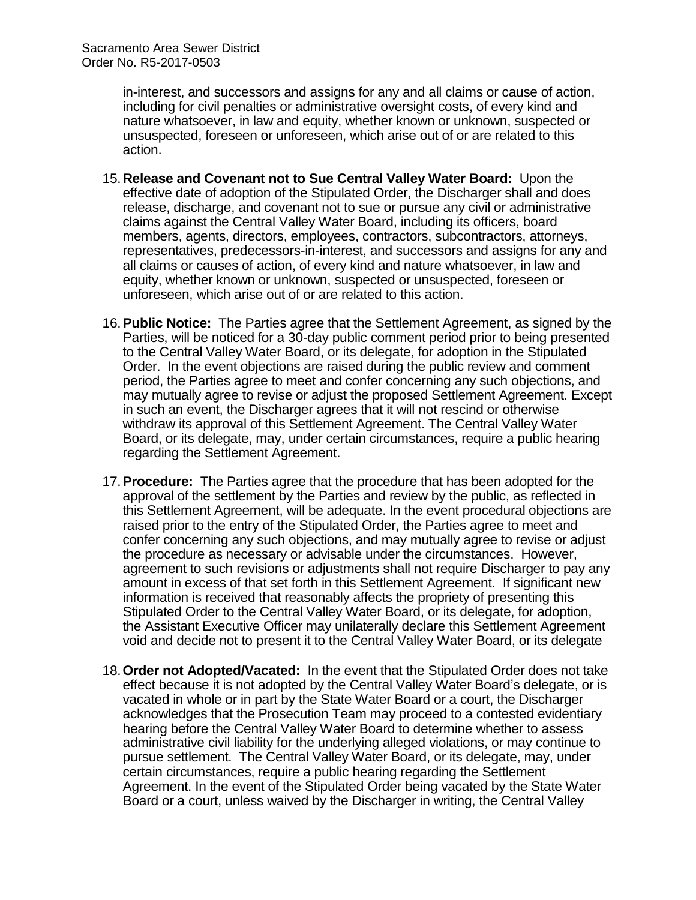in-interest, and successors and assigns for any and all claims or cause of action, including for civil penalties or administrative oversight costs, of every kind and nature whatsoever, in law and equity, whether known or unknown, suspected or unsuspected, foreseen or unforeseen, which arise out of or are related to this action.

- 15.**Release and Covenant not to Sue Central Valley Water Board:** Upon the effective date of adoption of the Stipulated Order, the Discharger shall and does release, discharge, and covenant not to sue or pursue any civil or administrative claims against the Central Valley Water Board, including its officers, board members, agents, directors, employees, contractors, subcontractors, attorneys, representatives, predecessors-in-interest, and successors and assigns for any and all claims or causes of action, of every kind and nature whatsoever, in law and equity, whether known or unknown, suspected or unsuspected, foreseen or unforeseen, which arise out of or are related to this action.
- 16.**Public Notice:** The Parties agree that the Settlement Agreement, as signed by the Parties, will be noticed for a 30-day public comment period prior to being presented to the Central Valley Water Board, or its delegate, for adoption in the Stipulated Order. In the event objections are raised during the public review and comment period, the Parties agree to meet and confer concerning any such objections, and may mutually agree to revise or adjust the proposed Settlement Agreement. Except in such an event, the Discharger agrees that it will not rescind or otherwise withdraw its approval of this Settlement Agreement. The Central Valley Water Board, or its delegate, may, under certain circumstances, require a public hearing regarding the Settlement Agreement.
- 17.**Procedure:** The Parties agree that the procedure that has been adopted for the approval of the settlement by the Parties and review by the public, as reflected in this Settlement Agreement, will be adequate. In the event procedural objections are raised prior to the entry of the Stipulated Order, the Parties agree to meet and confer concerning any such objections, and may mutually agree to revise or adjust the procedure as necessary or advisable under the circumstances. However, agreement to such revisions or adjustments shall not require Discharger to pay any amount in excess of that set forth in this Settlement Agreement. If significant new information is received that reasonably affects the propriety of presenting this Stipulated Order to the Central Valley Water Board, or its delegate, for adoption, the Assistant Executive Officer may unilaterally declare this Settlement Agreement void and decide not to present it to the Central Valley Water Board, or its delegate
- 18.**Order not Adopted/Vacated:** In the event that the Stipulated Order does not take effect because it is not adopted by the Central Valley Water Board's delegate, or is vacated in whole or in part by the State Water Board or a court, the Discharger acknowledges that the Prosecution Team may proceed to a contested evidentiary hearing before the Central Valley Water Board to determine whether to assess administrative civil liability for the underlying alleged violations, or may continue to pursue settlement. The Central Valley Water Board, or its delegate, may, under certain circumstances, require a public hearing regarding the Settlement Agreement. In the event of the Stipulated Order being vacated by the State Water Board or a court, unless waived by the Discharger in writing, the Central Valley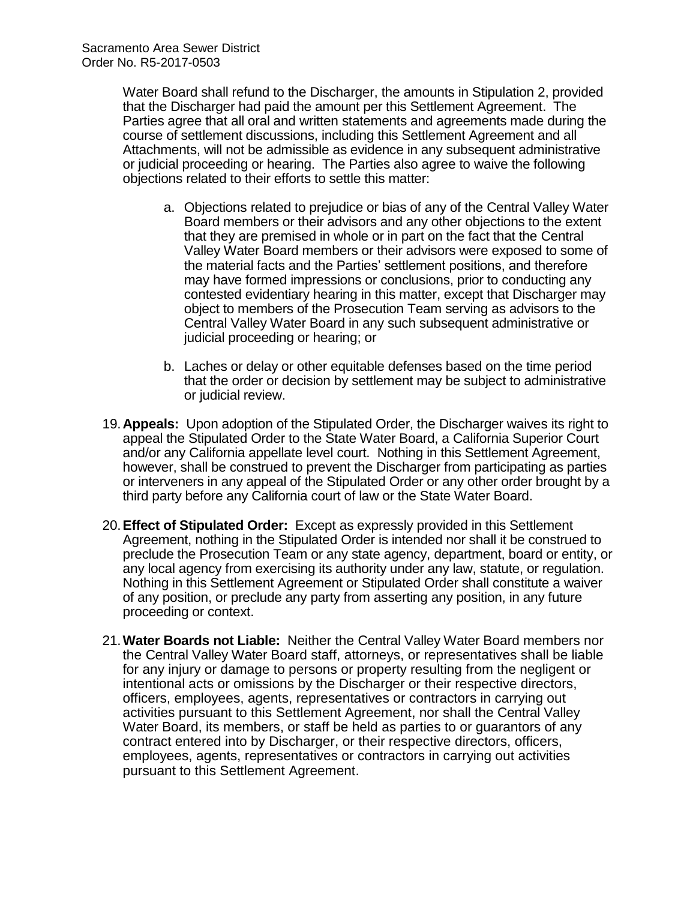Water Board shall refund to the Discharger, the amounts in Stipulation 2, provided that the Discharger had paid the amount per this Settlement Agreement. The Parties agree that all oral and written statements and agreements made during the course of settlement discussions, including this Settlement Agreement and all Attachments, will not be admissible as evidence in any subsequent administrative or judicial proceeding or hearing. The Parties also agree to waive the following objections related to their efforts to settle this matter:

- a. Objections related to prejudice or bias of any of the Central Valley Water Board members or their advisors and any other objections to the extent that they are premised in whole or in part on the fact that the Central Valley Water Board members or their advisors were exposed to some of the material facts and the Parties' settlement positions, and therefore may have formed impressions or conclusions, prior to conducting any contested evidentiary hearing in this matter, except that Discharger may object to members of the Prosecution Team serving as advisors to the Central Valley Water Board in any such subsequent administrative or judicial proceeding or hearing; or
- b. Laches or delay or other equitable defenses based on the time period that the order or decision by settlement may be subject to administrative or judicial review.
- 19.**Appeals:** Upon adoption of the Stipulated Order, the Discharger waives its right to appeal the Stipulated Order to the State Water Board, a California Superior Court and/or any California appellate level court. Nothing in this Settlement Agreement, however, shall be construed to prevent the Discharger from participating as parties or interveners in any appeal of the Stipulated Order or any other order brought by a third party before any California court of law or the State Water Board.
- 20.**Effect of Stipulated Order:** Except as expressly provided in this Settlement Agreement, nothing in the Stipulated Order is intended nor shall it be construed to preclude the Prosecution Team or any state agency, department, board or entity, or any local agency from exercising its authority under any law, statute, or regulation. Nothing in this Settlement Agreement or Stipulated Order shall constitute a waiver of any position, or preclude any party from asserting any position, in any future proceeding or context.
- 21.**Water Boards not Liable:** Neither the Central Valley Water Board members nor the Central Valley Water Board staff, attorneys, or representatives shall be liable for any injury or damage to persons or property resulting from the negligent or intentional acts or omissions by the Discharger or their respective directors, officers, employees, agents, representatives or contractors in carrying out activities pursuant to this Settlement Agreement, nor shall the Central Valley Water Board, its members, or staff be held as parties to or guarantors of any contract entered into by Discharger, or their respective directors, officers, employees, agents, representatives or contractors in carrying out activities pursuant to this Settlement Agreement.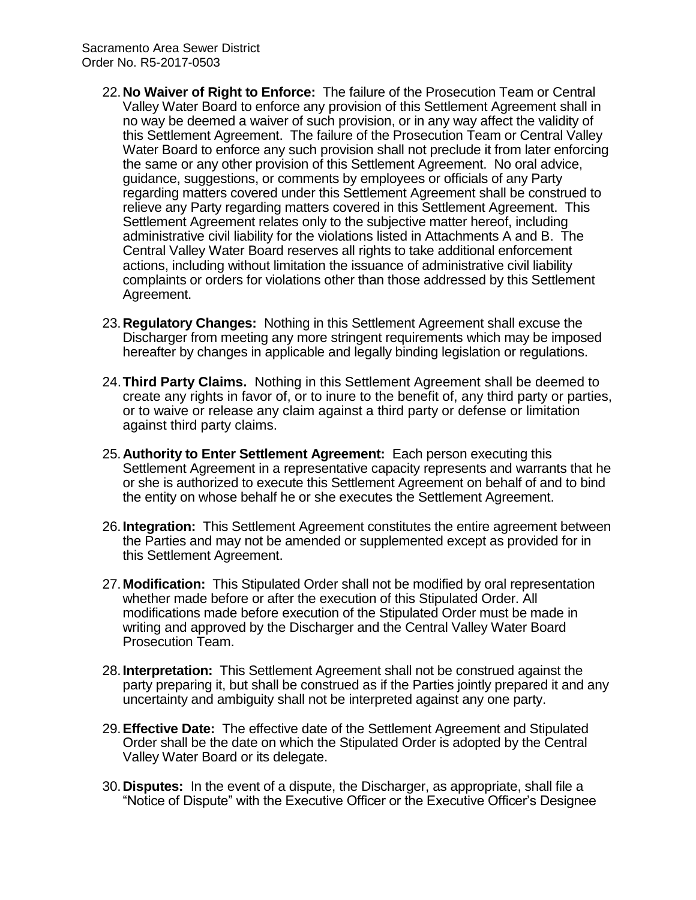- 22.**No Waiver of Right to Enforce:** The failure of the Prosecution Team or Central Valley Water Board to enforce any provision of this Settlement Agreement shall in no way be deemed a waiver of such provision, or in any way affect the validity of this Settlement Agreement. The failure of the Prosecution Team or Central Valley Water Board to enforce any such provision shall not preclude it from later enforcing the same or any other provision of this Settlement Agreement. No oral advice, guidance, suggestions, or comments by employees or officials of any Party regarding matters covered under this Settlement Agreement shall be construed to relieve any Party regarding matters covered in this Settlement Agreement. This Settlement Agreement relates only to the subjective matter hereof, including administrative civil liability for the violations listed in Attachments A and B. The Central Valley Water Board reserves all rights to take additional enforcement actions, including without limitation the issuance of administrative civil liability complaints or orders for violations other than those addressed by this Settlement Agreement.
- 23.**Regulatory Changes:** Nothing in this Settlement Agreement shall excuse the Discharger from meeting any more stringent requirements which may be imposed hereafter by changes in applicable and legally binding legislation or regulations.
- 24.**Third Party Claims.** Nothing in this Settlement Agreement shall be deemed to create any rights in favor of, or to inure to the benefit of, any third party or parties, or to waive or release any claim against a third party or defense or limitation against third party claims.
- 25.**Authority to Enter Settlement Agreement:** Each person executing this Settlement Agreement in a representative capacity represents and warrants that he or she is authorized to execute this Settlement Agreement on behalf of and to bind the entity on whose behalf he or she executes the Settlement Agreement.
- 26.**Integration:** This Settlement Agreement constitutes the entire agreement between the Parties and may not be amended or supplemented except as provided for in this Settlement Agreement.
- 27.**Modification:** This Stipulated Order shall not be modified by oral representation whether made before or after the execution of this Stipulated Order. All modifications made before execution of the Stipulated Order must be made in writing and approved by the Discharger and the Central Valley Water Board Prosecution Team.
- 28.**Interpretation:** This Settlement Agreement shall not be construed against the party preparing it, but shall be construed as if the Parties jointly prepared it and any uncertainty and ambiguity shall not be interpreted against any one party.
- 29.**Effective Date:** The effective date of the Settlement Agreement and Stipulated Order shall be the date on which the Stipulated Order is adopted by the Central Valley Water Board or its delegate.
- 30.**Disputes:** In the event of a dispute, the Discharger, as appropriate, shall file a "Notice of Dispute" with the Executive Officer or the Executive Officer's Designee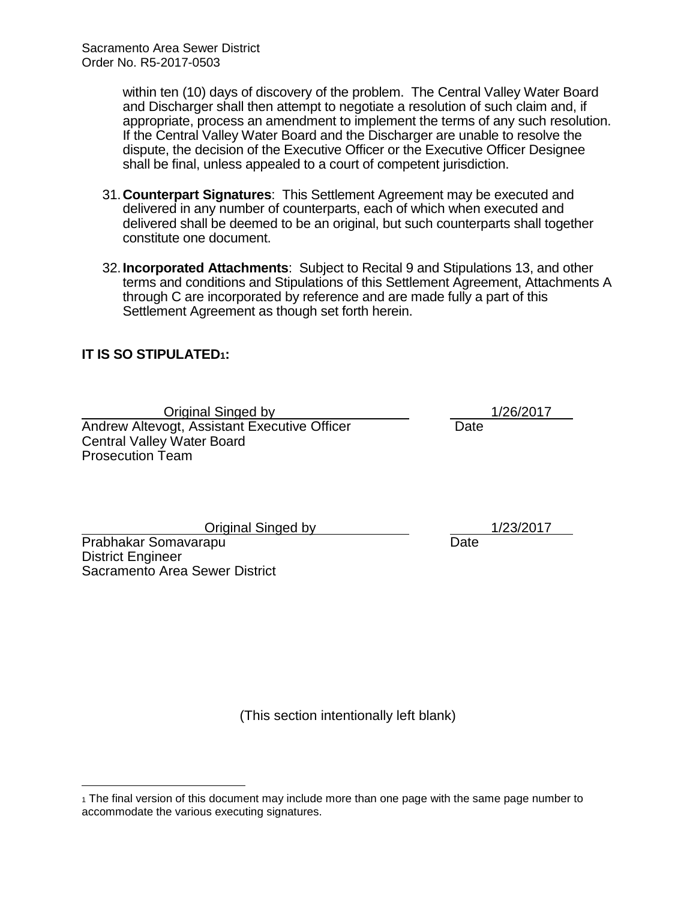within ten (10) days of discovery of the problem. The Central Valley Water Board and Discharger shall then attempt to negotiate a resolution of such claim and, if appropriate, process an amendment to implement the terms of any such resolution. If the Central Valley Water Board and the Discharger are unable to resolve the dispute, the decision of the Executive Officer or the Executive Officer Designee shall be final, unless appealed to a court of competent jurisdiction.

- 31.**Counterpart Signatures**: This Settlement Agreement may be executed and delivered in any number of counterparts, each of which when executed and delivered shall be deemed to be an original, but such counterparts shall together constitute one document.
- 32.**Incorporated Attachments**: Subject to Recital 9 and Stipulations 13, and other terms and conditions and Stipulations of this Settlement Agreement, Attachments A through C are incorporated by reference and are made fully a part of this Settlement Agreement as though set forth herein.

## **IT IS SO STIPULATED1:**

Original Singed by 1/26/2017 Andrew Altevogt, Assistant Executive Officer Date Central Valley Water Board Prosecution Team

Original Singed by 1/23/2017

Prabhakar Somavarapu Date District Engineer Sacramento Area Sewer District

 $\overline{a}$ 

(This section intentionally left blank)

<sup>1</sup> The final version of this document may include more than one page with the same page number to accommodate the various executing signatures.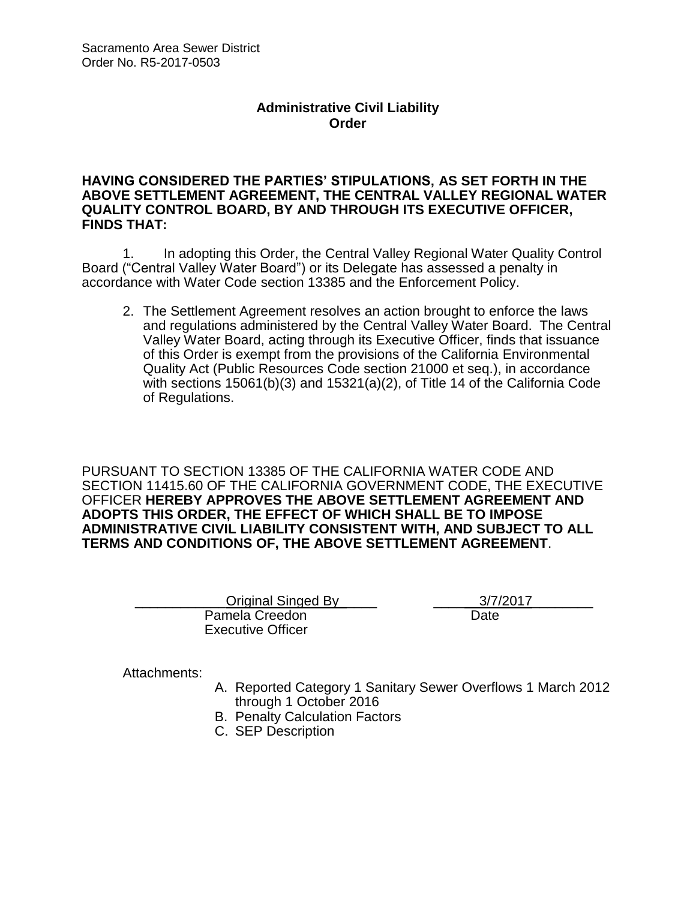### **Administrative Civil Liability Order**

#### **HAVING CONSIDERED THE PARTIES' STIPULATIONS, AS SET FORTH IN THE ABOVE SETTLEMENT AGREEMENT, THE CENTRAL VALLEY REGIONAL WATER QUALITY CONTROL BOARD, BY AND THROUGH ITS EXECUTIVE OFFICER, FINDS THAT:**

1. In adopting this Order, the Central Valley Regional Water Quality Control Board ("Central Valley Water Board") or its Delegate has assessed a penalty in accordance with Water Code section 13385 and the Enforcement Policy.

2. The Settlement Agreement resolves an action brought to enforce the laws and regulations administered by the Central Valley Water Board. The Central Valley Water Board, acting through its Executive Officer, finds that issuance of this Order is exempt from the provisions of the California Environmental Quality Act (Public Resources Code section 21000 et seq.), in accordance with sections 15061(b)(3) and 15321(a)(2), of Title 14 of the California Code of Regulations.

PURSUANT TO SECTION 13385 OF THE CALIFORNIA WATER CODE AND SECTION 11415.60 OF THE CALIFORNIA GOVERNMENT CODE, THE EXECUTIVE OFFICER **HEREBY APPROVES THE ABOVE SETTLEMENT AGREEMENT AND ADOPTS THIS ORDER, THE EFFECT OF WHICH SHALL BE TO IMPOSE ADMINISTRATIVE CIVIL LIABILITY CONSISTENT WITH, AND SUBJECT TO ALL TERMS AND CONDITIONS OF, THE ABOVE SETTLEMENT AGREEMENT**.

| Original Singed By       | 3/7/2017 |
|--------------------------|----------|
| Pamela Creedon           | Date     |
| <b>Executive Officer</b> |          |

Attachments:

- A. Reported Category 1 Sanitary Sewer Overflows 1 March 2012 through 1 October 2016
- B. Penalty Calculation Factors
- C. SEP Description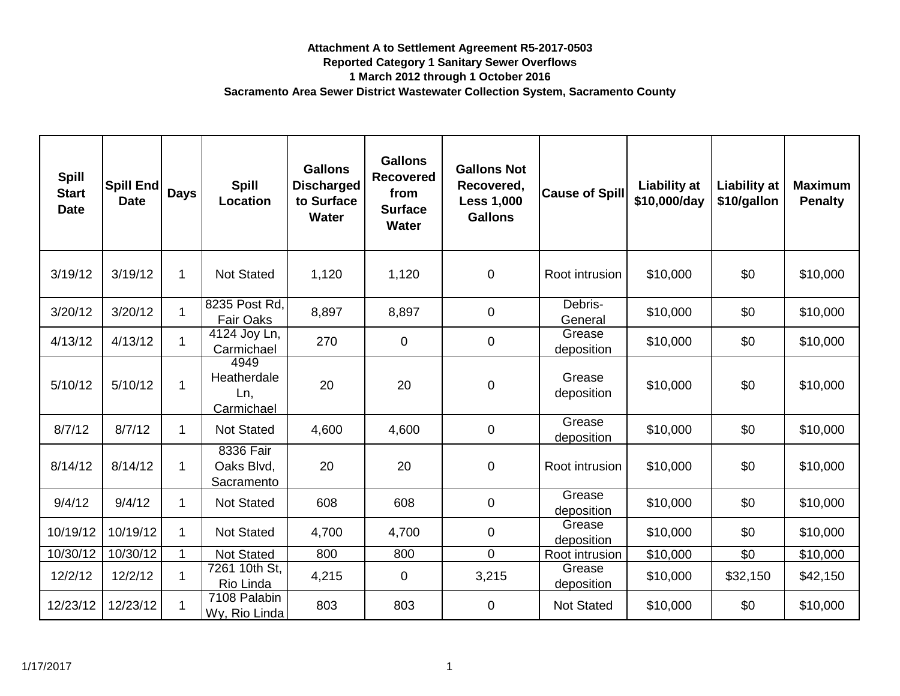| <b>Spill</b><br><b>Start</b><br><b>Date</b> | <b>Spill End</b><br><b>Date</b> | <b>Days</b> | <b>Spill</b><br>Location                 | <b>Gallons</b><br><b>Discharged</b><br>to Surface<br><b>Water</b> | <b>Gallons</b><br><b>Recovered</b><br>from<br><b>Surface</b><br><b>Water</b> | <b>Gallons Not</b><br>Recovered,<br><b>Less 1,000</b><br><b>Gallons</b> | <b>Cause of Spill</b> | <b>Liability at</b><br>\$10,000/day | <b>Liability at</b><br>\$10/gallon | <b>Maximum</b><br><b>Penalty</b> |
|---------------------------------------------|---------------------------------|-------------|------------------------------------------|-------------------------------------------------------------------|------------------------------------------------------------------------------|-------------------------------------------------------------------------|-----------------------|-------------------------------------|------------------------------------|----------------------------------|
| 3/19/12                                     | 3/19/12                         | 1           | <b>Not Stated</b>                        | 1,120                                                             | 1,120                                                                        | $\mathbf 0$                                                             | Root intrusion        | \$10,000                            | \$0                                | \$10,000                         |
| 3/20/12                                     | 3/20/12                         |             | 8235 Post Rd,<br><b>Fair Oaks</b>        | 8,897                                                             | 8,897                                                                        | $\overline{0}$                                                          | Debris-<br>General    | \$10,000                            | \$0                                | \$10,000                         |
| 4/13/12                                     | 4/13/12                         |             | 4124 Joy Ln,<br>Carmichael               | 270                                                               | $\mathbf 0$                                                                  | 0                                                                       | Grease<br>deposition  | \$10,000                            | \$0                                | \$10,000                         |
| 5/10/12                                     | 5/10/12                         |             | 4949<br>Heatherdale<br>Ln,<br>Carmichael | 20                                                                | 20                                                                           | $\mathbf 0$                                                             | Grease<br>deposition  | \$10,000                            | \$0                                | \$10,000                         |
| 8/7/12                                      | 8/7/12                          | 1           | <b>Not Stated</b>                        | 4,600                                                             | 4,600                                                                        | 0                                                                       | Grease<br>deposition  | \$10,000                            | \$0                                | \$10,000                         |
| 8/14/12                                     | 8/14/12                         |             | 8336 Fair<br>Oaks Blvd,<br>Sacramento    | 20                                                                | 20                                                                           | $\overline{0}$                                                          | Root intrusion        | \$10,000                            | \$0                                | \$10,000                         |
| 9/4/12                                      | 9/4/12                          |             | <b>Not Stated</b>                        | 608                                                               | 608                                                                          | 0                                                                       | Grease<br>deposition  | \$10,000                            | \$0                                | \$10,000                         |
| 10/19/12                                    | 10/19/12                        |             | <b>Not Stated</b>                        | 4,700                                                             | 4,700                                                                        | 0                                                                       | Grease<br>deposition  | \$10,000                            | \$0                                | \$10,000                         |
| 10/30/12                                    | 10/30/12                        |             | Not Stated                               | 800                                                               | 800                                                                          | 0                                                                       | Root intrusion        | \$10,000                            | \$0                                | \$10,000                         |
| 12/2/12                                     | 12/2/12                         |             | 7261 10th St,<br>Rio Linda               | 4,215                                                             | $\mathbf 0$                                                                  | 3,215                                                                   | Grease<br>deposition  | \$10,000                            | \$32,150                           | \$42,150                         |
| 12/23/12                                    | 12/23/12                        |             | 7108 Palabin<br>Wy, Rio Linda            | 803                                                               | 803                                                                          | 0                                                                       | <b>Not Stated</b>     | \$10,000                            | \$0                                | \$10,000                         |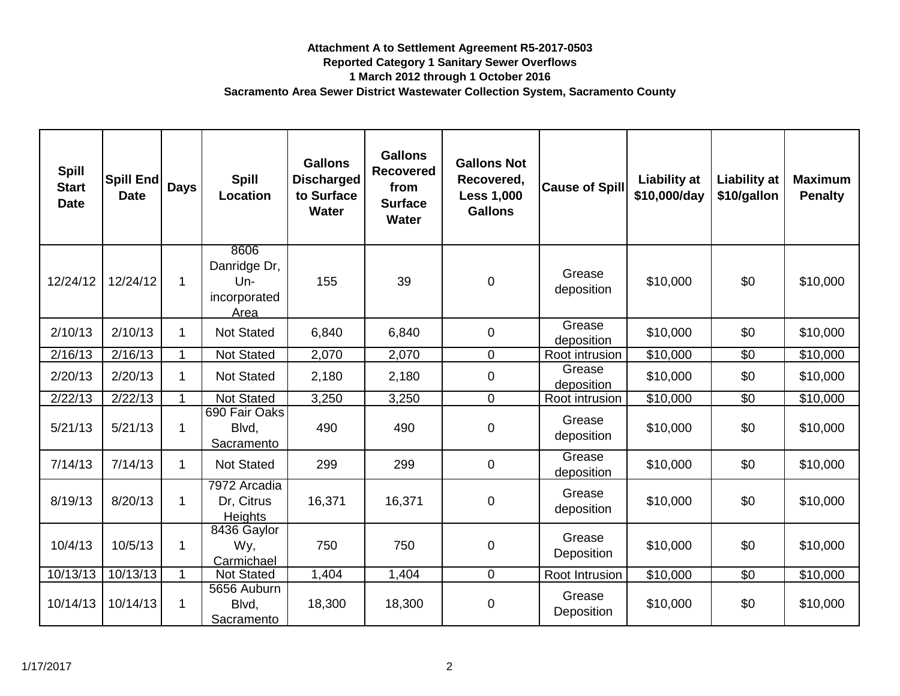| <b>Spill</b><br><b>Start</b><br><b>Date</b> | <b>Spill End</b><br><b>Date</b> | <b>Days</b> | <b>Spill</b><br>Location                              | <b>Gallons</b><br><b>Discharged</b><br>to Surface<br><b>Water</b> | <b>Gallons</b><br><b>Recovered</b><br>from<br><b>Surface</b><br><b>Water</b> | <b>Gallons Not</b><br>Recovered,<br><b>Less 1,000</b><br><b>Gallons</b> | <b>Cause of Spill</b> | <b>Liability at</b><br>\$10,000/day | <b>Liability at</b><br>\$10/gallon | <b>Maximum</b><br><b>Penalty</b> |
|---------------------------------------------|---------------------------------|-------------|-------------------------------------------------------|-------------------------------------------------------------------|------------------------------------------------------------------------------|-------------------------------------------------------------------------|-----------------------|-------------------------------------|------------------------------------|----------------------------------|
| 12/24/12                                    | 12/24/12                        | $\mathbf 1$ | 8606<br>Danridge Dr,<br>$Un-$<br>incorporated<br>Area | 155                                                               | 39                                                                           | $\mathbf 0$                                                             | Grease<br>deposition  | \$10,000                            | \$0                                | \$10,000                         |
| 2/10/13                                     | 2/10/13                         |             | <b>Not Stated</b>                                     | 6,840                                                             | 6,840                                                                        | $\mathbf 0$                                                             | Grease<br>deposition  | \$10,000                            | \$0                                | \$10,000                         |
| 2/16/13                                     | 2/16/13                         |             | Not Stated                                            | 2,070                                                             | 2,070                                                                        | $\mathbf 0$                                                             | Root intrusion        | \$10,000                            | \$0                                | \$10,000                         |
| 2/20/13                                     | 2/20/13                         | 1           | <b>Not Stated</b>                                     | 2,180                                                             | 2,180                                                                        | $\mathbf 0$                                                             | Grease<br>deposition  | \$10,000                            | \$0                                | \$10,000                         |
| 2/22/13                                     | 2/22/13                         |             | <b>Not Stated</b>                                     | 3,250                                                             | 3,250                                                                        | $\mathbf 0$                                                             | Root intrusion        | \$10,000                            | \$0                                | \$10,000                         |
| 5/21/13                                     | 5/21/13                         | 1           | 690 Fair Oaks<br>Blvd,<br>Sacramento                  | 490                                                               | 490                                                                          | $\boldsymbol{0}$                                                        | Grease<br>deposition  | \$10,000                            | \$0                                | \$10,000                         |
| 7/14/13                                     | 7/14/13                         | 1           | <b>Not Stated</b>                                     | 299                                                               | 299                                                                          | $\mathbf 0$                                                             | Grease<br>deposition  | \$10,000                            | \$0                                | \$10,000                         |
| 8/19/13                                     | 8/20/13                         | 1           | 7972 Arcadia<br>Dr, Citrus<br><b>Heights</b>          | 16,371                                                            | 16,371                                                                       | $\boldsymbol{0}$                                                        | Grease<br>deposition  | \$10,000                            | \$0                                | \$10,000                         |
| 10/4/13                                     | 10/5/13                         | 1           | 8436 Gaylor<br>Wy,<br>Carmichael                      | 750                                                               | 750                                                                          | $\boldsymbol{0}$                                                        | Grease<br>Deposition  | \$10,000                            | \$0                                | \$10,000                         |
| 10/13/13                                    | 10/13/13                        | -1          | Not Stated                                            | 1,404                                                             | 1,404                                                                        | $\Omega$                                                                | Root Intrusion        | $\overline{$}10,000$                | \$0                                | $\overline{$}10,000$             |
| 10/14/13                                    | 10/14/13                        |             | 5656 Auburn<br>Blvd,<br>Sacramento                    | 18,300                                                            | 18,300                                                                       | $\boldsymbol{0}$                                                        | Grease<br>Deposition  | \$10,000                            | \$0                                | \$10,000                         |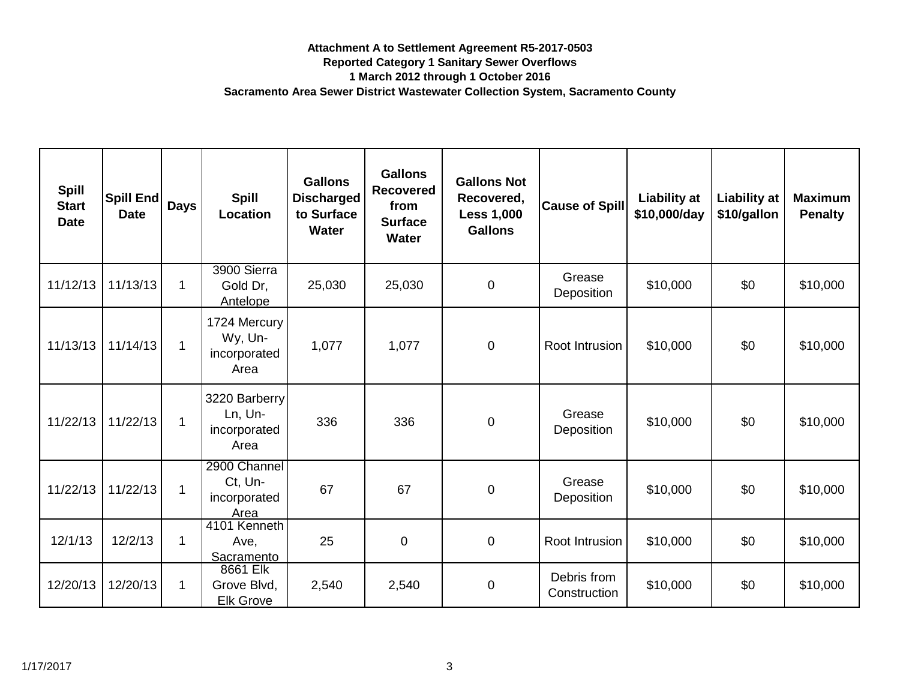| <b>Spill</b><br><b>Start</b><br><b>Date</b> | Spill End<br><b>Date</b> | <b>Days</b>  | <b>Spill</b><br>Location                         | <b>Gallons</b><br><b>Discharged</b><br>to Surface<br><b>Water</b> | <b>Gallons</b><br><b>Recovered</b><br>from<br><b>Surface</b><br><b>Water</b> | <b>Gallons Not</b><br>Recovered,<br><b>Less 1,000</b><br><b>Gallons</b> | <b>Cause of Spill</b>       | <b>Liability at</b><br>\$10,000/day | <b>Liability at</b><br>\$10/gallon | <b>Maximum</b><br><b>Penalty</b> |
|---------------------------------------------|--------------------------|--------------|--------------------------------------------------|-------------------------------------------------------------------|------------------------------------------------------------------------------|-------------------------------------------------------------------------|-----------------------------|-------------------------------------|------------------------------------|----------------------------------|
| 11/12/13                                    | 11/13/13                 | $\mathbf 1$  | 3900 Sierra<br>Gold Dr,<br>Antelope              | 25,030                                                            | 25,030                                                                       | $\overline{0}$                                                          | Grease<br>Deposition        | \$10,000                            | \$0                                | \$10,000                         |
| 11/13/13                                    | 11/14/13                 | $\mathbf 1$  | 1724 Mercury<br>Wy, Un-<br>incorporated<br>Area  | 1,077                                                             | 1,077                                                                        | $\mathbf 0$                                                             | Root Intrusion              | \$10,000                            | \$0                                | \$10,000                         |
| 11/22/13                                    | 11/22/13                 | 1            | 3220 Barberry<br>Ln, Un-<br>incorporated<br>Area | 336                                                               | 336                                                                          | $\overline{0}$                                                          | Grease<br>Deposition        | \$10,000                            | \$0                                | \$10,000                         |
| 11/22/13                                    | 11/22/13                 | $\mathbf 1$  | 2900 Channel<br>Ct, Un-<br>incorporated<br>Area  | 67                                                                | 67                                                                           | $\overline{0}$                                                          | Grease<br>Deposition        | \$10,000                            | \$0                                | \$10,000                         |
| 12/1/13                                     | 12/2/13                  | $\mathbf{1}$ | 4101 Kenneth<br>Ave,<br>Sacramento               | 25                                                                | $\pmb{0}$                                                                    | $\mathbf 0$                                                             | Root Intrusion              | \$10,000                            | \$0                                | \$10,000                         |
| 12/20/13                                    | 12/20/13                 | 1            | 8661 Elk<br>Grove Blvd,<br><b>Elk Grove</b>      | 2,540                                                             | 2,540                                                                        | $\overline{0}$                                                          | Debris from<br>Construction | \$10,000                            | \$0                                | \$10,000                         |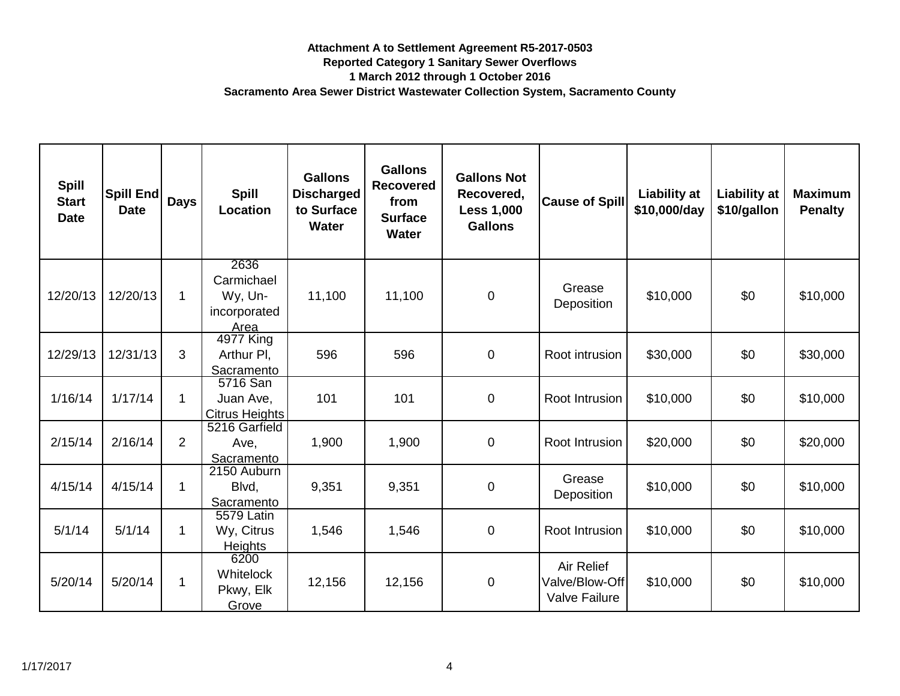| <b>Spill</b><br><b>Start</b><br><b>Date</b> | Spill End<br><b>Date</b> | <b>Days</b>    | <b>Spill</b><br>Location                              | <b>Gallons</b><br><b>Discharged</b><br>to Surface<br><b>Water</b> | <b>Gallons</b><br><b>Recovered</b><br>from<br><b>Surface</b><br><b>Water</b> | <b>Gallons Not</b><br>Recovered,<br><b>Less 1,000</b><br><b>Gallons</b> | <b>Cause of Spill</b>                                       | <b>Liability at</b><br>\$10,000/day | Liability at<br>\$10/gallon | <b>Maximum</b><br><b>Penalty</b> |
|---------------------------------------------|--------------------------|----------------|-------------------------------------------------------|-------------------------------------------------------------------|------------------------------------------------------------------------------|-------------------------------------------------------------------------|-------------------------------------------------------------|-------------------------------------|-----------------------------|----------------------------------|
| 12/20/13                                    | 12/20/13                 | $\mathbf 1$    | 2636<br>Carmichael<br>Wy, Un-<br>incorporated<br>Area | 11,100                                                            | 11,100                                                                       | $\pmb{0}$                                                               | Grease<br>Deposition                                        | \$10,000                            | \$0                         | \$10,000                         |
| 12/29/13                                    | 12/31/13                 | 3              | 4977 King<br>Arthur PI,<br>Sacramento                 | 596                                                               | 596                                                                          | $\mathbf 0$                                                             | Root intrusion                                              | \$30,000                            | \$0                         | \$30,000                         |
| 1/16/14                                     | 1/17/14                  | 1              | 5716 San<br>Juan Ave,<br><b>Citrus Heights</b>        | 101                                                               | 101                                                                          | $\pmb{0}$                                                               | Root Intrusion                                              | \$10,000                            | \$0                         | \$10,000                         |
| 2/15/14                                     | 2/16/14                  | $\overline{2}$ | 5216 Garfield<br>Ave,<br>Sacramento                   | 1,900                                                             | 1,900                                                                        | 0                                                                       | Root Intrusion                                              | \$20,000                            | \$0                         | \$20,000                         |
| 4/15/14                                     | 4/15/14                  | 1              | 2150 Auburn<br>Blvd,<br>Sacramento                    | 9,351                                                             | 9,351                                                                        | 0                                                                       | Grease<br>Deposition                                        | \$10,000                            | \$0                         | \$10,000                         |
| 5/1/14                                      | 5/1/14                   |                | 5579 Latin<br>Wy, Citrus<br><b>Heights</b>            | 1,546                                                             | 1,546                                                                        | $\mathbf 0$                                                             | Root Intrusion                                              | \$10,000                            | \$0                         | \$10,000                         |
| 5/20/14                                     | 5/20/14                  | 1              | 6200<br><b>Whitelock</b><br>Pkwy, Elk<br>Grove        | 12,156                                                            | 12,156                                                                       | $\pmb{0}$                                                               | <b>Air Relief</b><br>Valve/Blow-Off<br><b>Valve Failure</b> | \$10,000                            | \$0                         | \$10,000                         |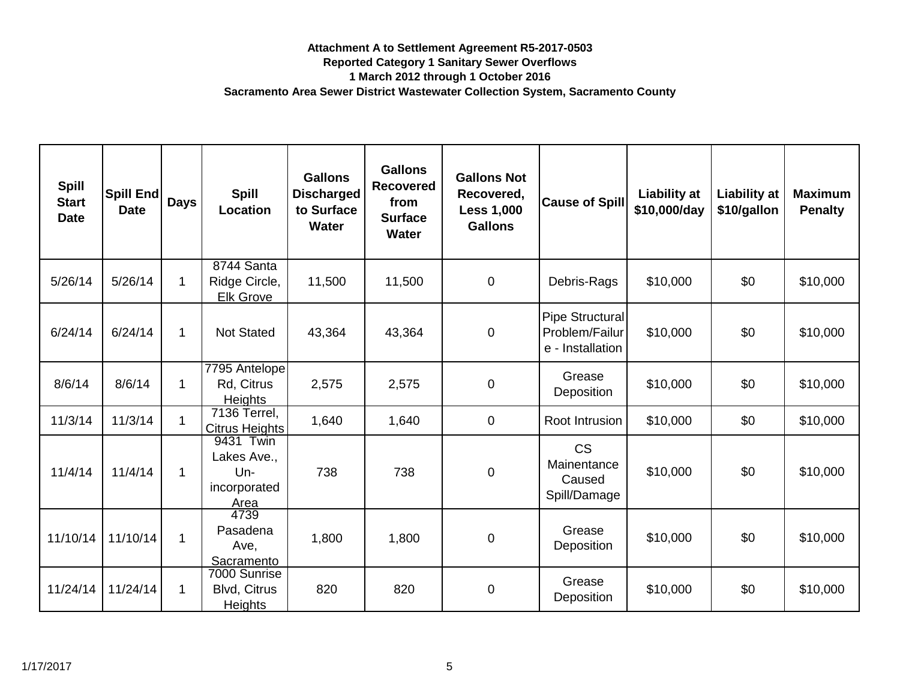| <b>Spill</b><br><b>Start</b><br><b>Date</b> | Spill End<br><b>Date</b> | <b>Days</b>  | <b>Spill</b><br>Location                        | <b>Gallons</b><br><b>Discharged</b><br>to Surface<br><b>Water</b> | <b>Gallons</b><br><b>Recovered</b><br>from<br><b>Surface</b><br><b>Water</b> | <b>Gallons Not</b><br>Recovered,<br><b>Less 1,000</b><br><b>Gallons</b> | <b>Cause of Spill</b>                                 | <b>Liability at</b><br>\$10,000/day | <b>Liability at</b><br>\$10/gallon | <b>Maximum</b><br><b>Penalty</b> |
|---------------------------------------------|--------------------------|--------------|-------------------------------------------------|-------------------------------------------------------------------|------------------------------------------------------------------------------|-------------------------------------------------------------------------|-------------------------------------------------------|-------------------------------------|------------------------------------|----------------------------------|
| 5/26/14                                     | 5/26/14                  | 1            | 8744 Santa<br>Ridge Circle,<br><b>Elk Grove</b> | 11,500                                                            | 11,500                                                                       | 0                                                                       | Debris-Rags                                           | \$10,000                            | \$0                                | \$10,000                         |
| 6/24/14                                     | 6/24/14                  | 1            | <b>Not Stated</b>                               | 43,364                                                            | 43,364                                                                       | $\mathbf 0$                                                             | Pipe Structural<br>Problem/Failur<br>e - Installation | \$10,000                            | \$0                                | \$10,000                         |
| 8/6/14                                      | 8/6/14                   | 1            | 7795 Antelope<br>Rd, Citrus<br><b>Heights</b>   | 2,575                                                             | 2,575                                                                        | 0                                                                       | Grease<br>Deposition                                  | \$10,000                            | \$0                                | \$10,000                         |
| 11/3/14                                     | 11/3/14                  | $\mathbf{1}$ | 7136 Terrel,<br><b>Citrus Heights</b>           | 1,640                                                             | 1,640                                                                        | 0                                                                       | Root Intrusion                                        | \$10,000                            | \$0                                | \$10,000                         |
| 11/4/14                                     | 11/4/14                  | 1            | 9431 Twin<br>Lakes Ave.,<br>Un-<br>incorporated | 738                                                               | 738                                                                          | $\mathbf 0$                                                             | <b>CS</b><br>Mainentance<br>Caused<br>Spill/Damage    | \$10,000                            | \$0                                | \$10,000                         |
| 11/10/14                                    | 11/10/14                 |              | Area<br>4739<br>Pasadena<br>Ave.<br>Sacramento  | 1,800                                                             | 1,800                                                                        | $\mathbf 0$                                                             | Grease<br>Deposition                                  | \$10,000                            | \$0                                | \$10,000                         |
| 11/24/14                                    | 11/24/14                 | 1            | 7000 Sunrise<br>Blvd, Citrus<br>Heights         | 820                                                               | 820                                                                          | $\pmb{0}$                                                               | Grease<br>Deposition                                  | \$10,000                            | \$0                                | \$10,000                         |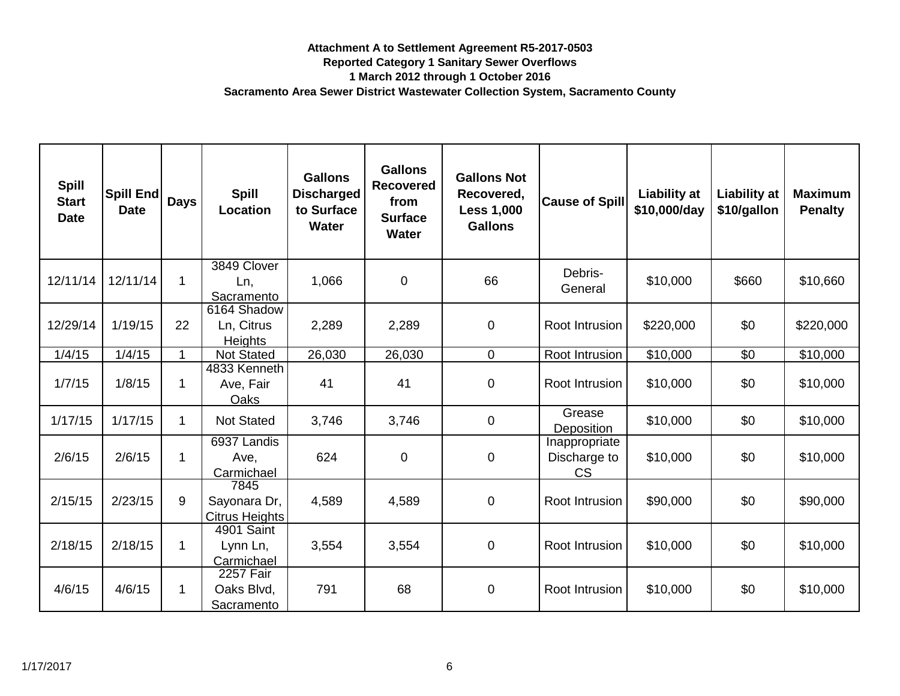| <b>Spill</b><br><b>Start</b><br><b>Date</b> | Spill End<br><b>Date</b> | <b>Days</b>  | <b>Spill</b><br>Location                      | <b>Gallons</b><br><b>Discharged</b><br>to Surface<br><b>Water</b> | <b>Gallons</b><br><b>Recovered</b><br>from<br><b>Surface</b><br><b>Water</b> | <b>Gallons Not</b><br>Recovered,<br><b>Less 1,000</b><br><b>Gallons</b> | <b>Cause of Spill</b>                      | <b>Liability at</b><br>\$10,000/day | <b>Liability at</b><br>\$10/gallon | <b>Maximum</b><br><b>Penalty</b> |
|---------------------------------------------|--------------------------|--------------|-----------------------------------------------|-------------------------------------------------------------------|------------------------------------------------------------------------------|-------------------------------------------------------------------------|--------------------------------------------|-------------------------------------|------------------------------------|----------------------------------|
| 12/11/14                                    | 12/11/14                 | $\mathbf{1}$ | 3849 Clover<br>Ln,<br>Sacramento              | 1,066                                                             | $\mathbf 0$                                                                  | 66                                                                      | Debris-<br>General                         | \$10,000                            | \$660                              | \$10,660                         |
| 12/29/14                                    | 1/19/15                  | 22           | 6164 Shadow<br>Ln, Citrus<br><b>Heights</b>   | 2,289                                                             | 2,289                                                                        | 0                                                                       | Root Intrusion                             | \$220,000                           | \$0                                | \$220,000                        |
| 1/4/15                                      | 1/4/15                   | 1.           | <b>Not Stated</b>                             | 26,030                                                            | 26,030                                                                       | 0                                                                       | Root Intrusion                             | \$10,000                            | \$0                                | \$10,000                         |
| 1/7/15                                      | 1/8/15                   | $\mathbf 1$  | 4833 Kenneth<br>Ave, Fair<br>Oaks             | 41                                                                | 41                                                                           | 0                                                                       | Root Intrusion                             | \$10,000                            | \$0                                | \$10,000                         |
| 1/17/15                                     | 1/17/15                  | $\mathbf{1}$ | <b>Not Stated</b>                             | 3,746                                                             | 3,746                                                                        | $\mathbf 0$                                                             | Grease<br>Deposition                       | \$10,000                            | \$0                                | \$10,000                         |
| 2/6/15                                      | 2/6/15                   | $\mathbf{1}$ | 6937 Landis<br>Ave,<br>Carmichael             | 624                                                               | $\mathbf 0$                                                                  | 0                                                                       | Inappropriate<br>Discharge to<br><b>CS</b> | \$10,000                            | \$0                                | \$10,000                         |
| 2/15/15                                     | 2/23/15                  | 9            | 7845<br>Sayonara Dr,<br><b>Citrus Heights</b> | 4,589                                                             | 4,589                                                                        | $\mathsf 0$                                                             | Root Intrusion                             | \$90,000                            | \$0                                | \$90,000                         |
| 2/18/15                                     | 2/18/15                  | $\mathbf{1}$ | 4901 Saint<br>Lynn Ln,<br>Carmichael          | 3,554                                                             | 3,554                                                                        | $\pmb{0}$                                                               | Root Intrusion                             | \$10,000                            | \$0                                | \$10,000                         |
| 4/6/15                                      | 4/6/15                   | $\mathbf 1$  | 2257 Fair<br>Oaks Blvd,<br>Sacramento         | 791                                                               | 68                                                                           | $\pmb{0}$                                                               | Root Intrusion                             | \$10,000                            | \$0                                | \$10,000                         |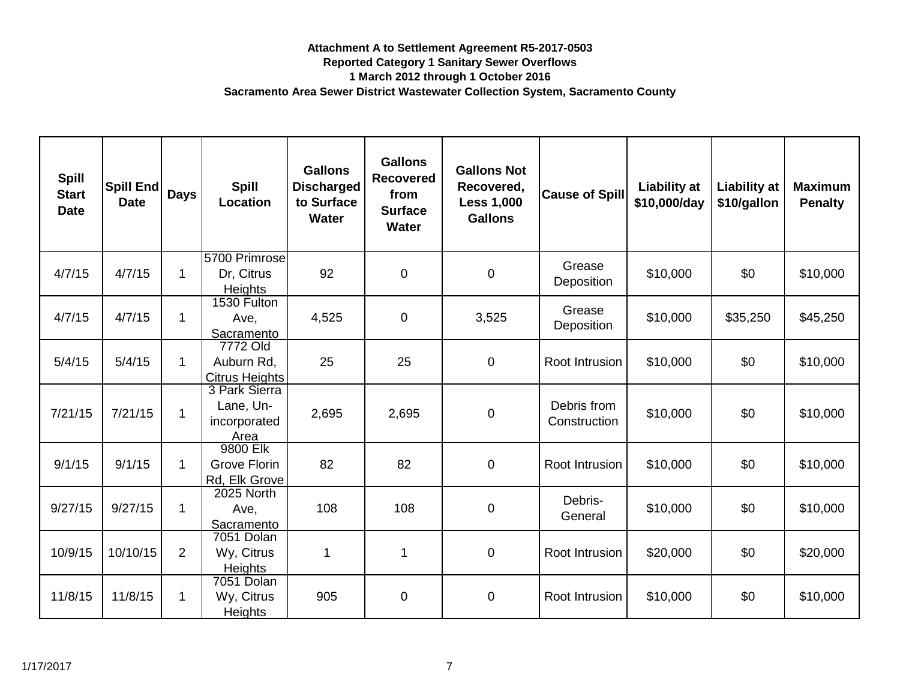| <b>Spill</b><br><b>Start</b><br><b>Date</b> | Spill End<br><b>Date</b> | <b>Days</b>    | <b>Spill</b><br>Location                           | <b>Gallons</b><br><b>Discharged</b><br>to Surface<br><b>Water</b> | <b>Gallons</b><br><b>Recovered</b><br>from<br><b>Surface</b><br><b>Water</b> | <b>Gallons Not</b><br>Recovered,<br><b>Less 1,000</b><br><b>Gallons</b> | <b>Cause of Spill</b>       | <b>Liability at</b><br>\$10,000/day | <b>Liability at</b><br>\$10/gallon | <b>Maximum</b><br><b>Penalty</b> |
|---------------------------------------------|--------------------------|----------------|----------------------------------------------------|-------------------------------------------------------------------|------------------------------------------------------------------------------|-------------------------------------------------------------------------|-----------------------------|-------------------------------------|------------------------------------|----------------------------------|
| 4/7/15                                      | 4/7/15                   | $\mathbf 1$    | 5700 Primrose<br>Dr, Citrus<br><b>Heights</b>      | 92                                                                | $\mathbf 0$                                                                  | $\boldsymbol{0}$                                                        | Grease<br>Deposition        | \$10,000                            | \$0                                | \$10,000                         |
| 4/7/15                                      | 4/7/15                   | 1              | 1530 Fulton<br>Ave,<br>Sacramento                  | 4,525                                                             | $\mathbf 0$                                                                  | 3,525                                                                   | Grease<br>Deposition        | \$10,000                            | \$35,250                           | \$45,250                         |
| 5/4/15                                      | 5/4/15                   | $\mathbf 1$    | 7772 Old<br>Auburn Rd,<br><b>Citrus Heights</b>    | 25                                                                | 25                                                                           | $\boldsymbol{0}$                                                        | Root Intrusion              | \$10,000                            | \$0                                | \$10,000                         |
| 7/21/15                                     | 7/21/15                  | 1              | 3 Park Sierra<br>Lane, Un-<br>incorporated<br>Area | 2,695                                                             | 2,695                                                                        | $\boldsymbol{0}$                                                        | Debris from<br>Construction | \$10,000                            | \$0                                | \$10,000                         |
| 9/1/15                                      | 9/1/15                   | 1              | 9800 Elk<br>Grove Florin<br>Rd. Elk Grove          | 82                                                                | 82                                                                           | $\boldsymbol{0}$                                                        | Root Intrusion              | \$10,000                            | \$0                                | \$10,000                         |
| 9/27/15                                     | 9/27/15                  | 1              | 2025 North<br>Ave,<br>Sacramento                   | 108                                                               | 108                                                                          | $\pmb{0}$                                                               | Debris-<br>General          | \$10,000                            | \$0                                | \$10,000                         |
| 10/9/15                                     | 10/10/15                 | $\overline{2}$ | 7051 Dolan<br>Wy, Citrus<br><b>Heights</b>         | 1                                                                 | 1                                                                            | $\boldsymbol{0}$                                                        | Root Intrusion              | \$20,000                            | \$0                                | \$20,000                         |
| 11/8/15                                     | 11/8/15                  |                | 7051 Dolan<br>Wy, Citrus<br><b>Heights</b>         | 905                                                               | $\mathbf 0$                                                                  | $\pmb{0}$                                                               | Root Intrusion              | \$10,000                            | \$0                                | \$10,000                         |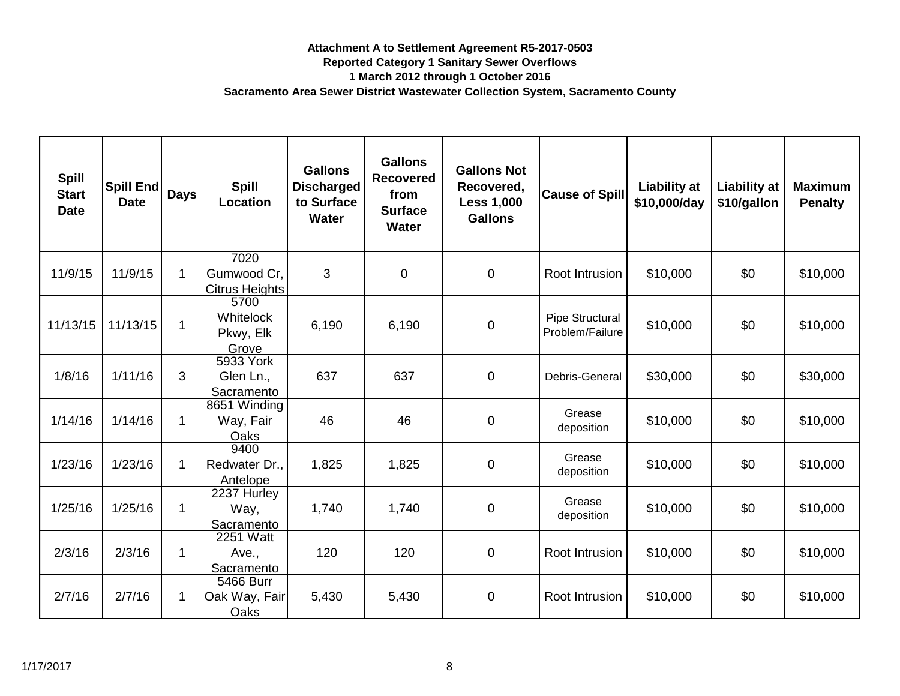| <b>Spill</b><br><b>Start</b><br><b>Date</b> | Spill End<br><b>Date</b> | <b>Days</b> | <b>Spill</b><br>Location                     | <b>Gallons</b><br><b>Discharged</b><br>to Surface<br><b>Water</b> | <b>Gallons</b><br><b>Recovered</b><br>from<br><b>Surface</b><br><b>Water</b> | <b>Gallons Not</b><br>Recovered,<br><b>Less 1,000</b><br><b>Gallons</b> | <b>Cause of Spill</b>              | <b>Liability at</b><br>\$10,000/day | <b>Liability at</b><br>\$10/gallon | <b>Maximum</b><br><b>Penalty</b> |
|---------------------------------------------|--------------------------|-------------|----------------------------------------------|-------------------------------------------------------------------|------------------------------------------------------------------------------|-------------------------------------------------------------------------|------------------------------------|-------------------------------------|------------------------------------|----------------------------------|
| 11/9/15                                     | 11/9/15                  |             | 7020<br>Gumwood Cr,<br><b>Citrus Heights</b> | 3                                                                 | $\overline{0}$                                                               | $\mathbf 0$                                                             | Root Intrusion                     | \$10,000                            | \$0                                | \$10,000                         |
| 11/13/15                                    | 11/13/15                 |             | 5700<br>Whitelock<br>Pkwy, Elk<br>Grove      | 6,190                                                             | 6,190                                                                        | $\boldsymbol{0}$                                                        | Pipe Structural<br>Problem/Failure | \$10,000                            | \$0                                | \$10,000                         |
| 1/8/16                                      | 1/11/16                  | 3           | 5933 York<br>Glen Ln.,<br>Sacramento         | 637                                                               | 637                                                                          | $\mathbf 0$                                                             | Debris-General                     | \$30,000                            | \$0                                | \$30,000                         |
| 1/14/16                                     | 1/14/16                  | 1           | 8651 Winding<br>Way, Fair<br>Oaks            | 46                                                                | 46                                                                           | $\pmb{0}$                                                               | Grease<br>deposition               | \$10,000                            | \$0                                | \$10,000                         |
| 1/23/16                                     | 1/23/16                  |             | 9400<br>Redwater Dr.,<br>Antelope            | 1,825                                                             | 1,825                                                                        | $\boldsymbol{0}$                                                        | Grease<br>deposition               | \$10,000                            | \$0                                | \$10,000                         |
| 1/25/16                                     | 1/25/16                  | 1           | 2237 Hurley<br>Way,<br>Sacramento            | 1,740                                                             | 1,740                                                                        | $\boldsymbol{0}$                                                        | Grease<br>deposition               | \$10,000                            | \$0                                | \$10,000                         |
| 2/3/16                                      | 2/3/16                   | 1           | 2251 Watt<br>Ave.,<br>Sacramento             | 120                                                               | 120                                                                          | $\boldsymbol{0}$                                                        | Root Intrusion                     | \$10,000                            | \$0                                | \$10,000                         |
| 2/7/16                                      | 2/7/16                   |             | 5466 Burr<br>Oak Way, Fair<br>Oaks           | 5,430                                                             | 5,430                                                                        | $\boldsymbol{0}$                                                        | Root Intrusion                     | \$10,000                            | \$0                                | \$10,000                         |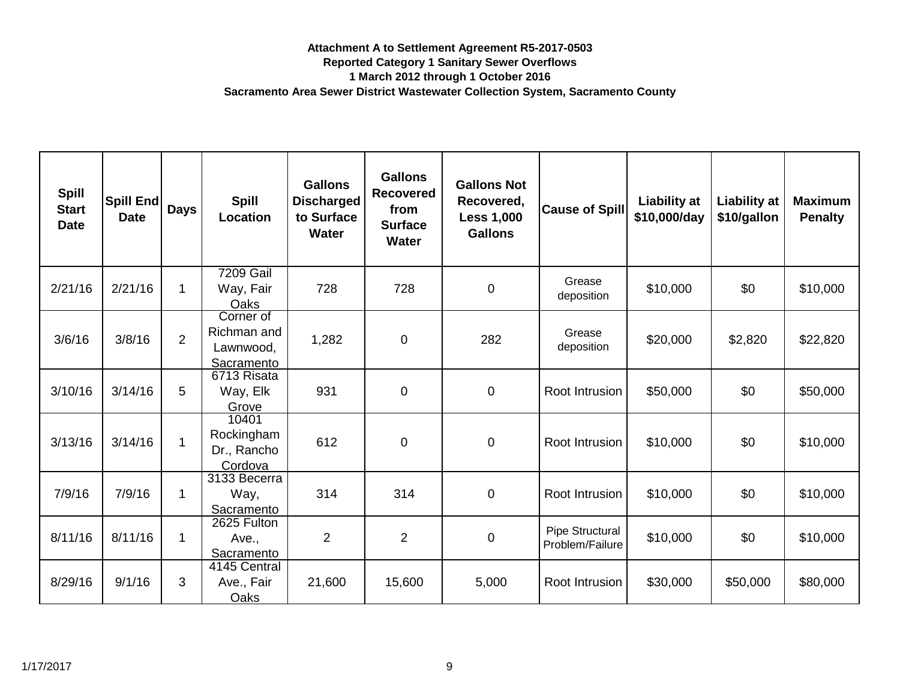| <b>Spill</b><br><b>Start</b><br><b>Date</b> | Spill End<br><b>Date</b> | <b>Days</b>    | <b>Spill</b><br>Location                            | <b>Gallons</b><br><b>Discharged</b><br>to Surface<br><b>Water</b> | <b>Gallons</b><br><b>Recovered</b><br>from<br><b>Surface</b><br><b>Water</b> | <b>Gallons Not</b><br>Recovered,<br><b>Less 1,000</b><br><b>Gallons</b> | <b>Cause of Spill</b>              | <b>Liability at</b><br>\$10,000/day | <b>Liability at</b><br>\$10/gallon | <b>Maximum</b><br><b>Penalty</b> |
|---------------------------------------------|--------------------------|----------------|-----------------------------------------------------|-------------------------------------------------------------------|------------------------------------------------------------------------------|-------------------------------------------------------------------------|------------------------------------|-------------------------------------|------------------------------------|----------------------------------|
| 2/21/16                                     | 2/21/16                  | 1              | <b>7209 Gail</b><br>Way, Fair<br>Oaks               | 728                                                               | 728                                                                          | $\pmb{0}$                                                               | Grease<br>deposition               | \$10,000                            | \$0                                | \$10,000                         |
| 3/6/16                                      | 3/8/16                   | $\overline{2}$ | Corner of<br>Richman and<br>Lawnwood,<br>Sacramento | 1,282                                                             | $\mathbf 0$                                                                  | 282                                                                     | Grease<br>deposition               | \$20,000                            | \$2,820                            | \$22,820                         |
| 3/10/16                                     | 3/14/16                  | 5              | 6713 Risata<br>Way, Elk<br>Grove                    | 931                                                               | $\mathbf 0$                                                                  | $\mathbf 0$                                                             | Root Intrusion                     | \$50,000                            | \$0                                | \$50,000                         |
| 3/13/16                                     | 3/14/16                  | $\mathbf{1}$   | 10401<br>Rockingham<br>Dr., Rancho<br>Cordova       | 612                                                               | $\mathbf 0$                                                                  | $\mathbf 0$                                                             | Root Intrusion                     | \$10,000                            | \$0                                | \$10,000                         |
| 7/9/16                                      | 7/9/16                   | $\mathbf 1$    | 3133 Becerra<br>Way,<br>Sacramento                  | 314                                                               | 314                                                                          | $\mathbf 0$                                                             | Root Intrusion                     | \$10,000                            | \$0                                | \$10,000                         |
| 8/11/16                                     | 8/11/16                  | 1              | 2625 Fulton<br>Ave.,<br>Sacramento                  | $\overline{2}$                                                    | $\overline{2}$                                                               | $\pmb{0}$                                                               | Pipe Structural<br>Problem/Failure | \$10,000                            | \$0                                | \$10,000                         |
| 8/29/16                                     | 9/1/16                   | 3              | 4145 Central<br>Ave., Fair<br>Oaks                  | 21,600                                                            | 15,600                                                                       | 5,000                                                                   | Root Intrusion                     | \$30,000                            | \$50,000                           | \$80,000                         |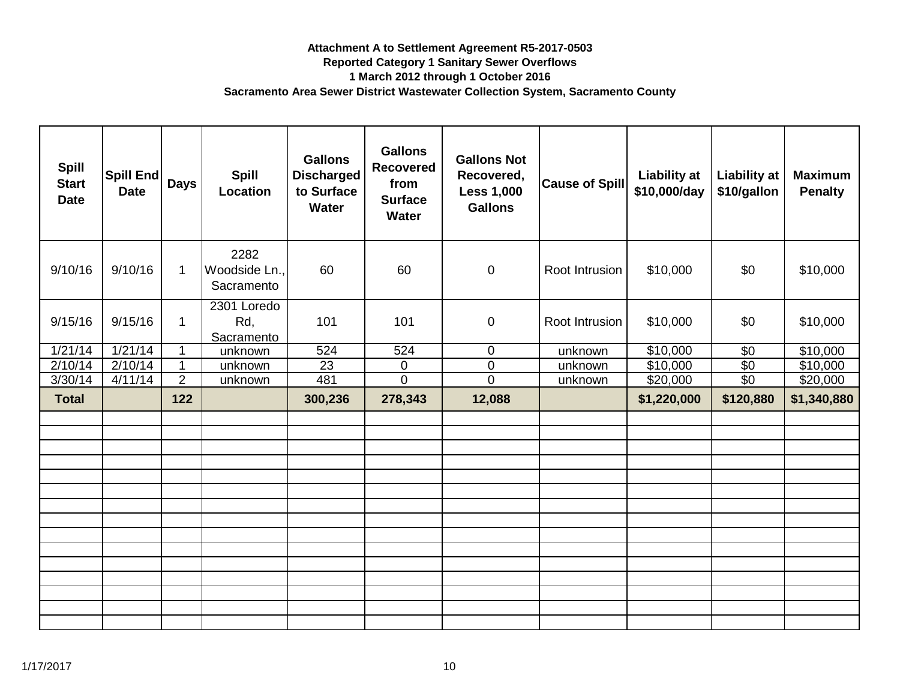| <b>Spill</b><br><b>Start</b><br><b>Date</b> | <b>Spill End</b><br><b>Date</b> | <b>Days</b>    | <b>Spill</b><br>Location            | <b>Gallons</b><br><b>Discharged</b><br>to Surface<br><b>Water</b> | <b>Gallons</b><br><b>Recovered</b><br>from<br><b>Surface</b><br><b>Water</b> | <b>Gallons Not</b><br>Recovered,<br><b>Less 1,000</b><br><b>Gallons</b> | <b>Cause of Spill</b> | <b>Liability at</b><br>\$10,000/day | <b>Liability at</b><br>\$10/gallon | <b>Maximum</b><br><b>Penalty</b> |
|---------------------------------------------|---------------------------------|----------------|-------------------------------------|-------------------------------------------------------------------|------------------------------------------------------------------------------|-------------------------------------------------------------------------|-----------------------|-------------------------------------|------------------------------------|----------------------------------|
| 9/10/16                                     | 9/10/16                         | $\mathbf 1$    | 2282<br>Woodside Ln.,<br>Sacramento | 60                                                                | 60                                                                           | $\pmb{0}$                                                               | Root Intrusion        | \$10,000                            | \$0                                | \$10,000                         |
| 9/15/16                                     | 9/15/16                         | $\mathbf 1$    | 2301 Loredo<br>Rd,<br>Sacramento    | 101                                                               | 101                                                                          | $\pmb{0}$                                                               | Root Intrusion        | \$10,000                            | \$0                                | \$10,000                         |
| 1/21/14                                     | 1/21/14                         |                | unknown                             | 524                                                               | 524                                                                          | $\mathbf 0$                                                             | unknown               | \$10,000                            | \$0                                | $\overline{$}10,000$             |
| 2/10/14                                     | 2/10/14                         | 1              | unknown                             | 23                                                                | $\overline{0}$                                                               | $\mathsf 0$                                                             | unknown               | \$10,000                            | $\sqrt{6}$                         | \$10,000                         |
| 3/30/14                                     | 4/11/14                         | $\overline{2}$ | unknown                             | 481                                                               | $\overline{0}$                                                               | $\overline{0}$                                                          | unknown               | \$20,000                            | $\overline{60}$                    | \$20,000                         |
| <b>Total</b>                                |                                 | 122            |                                     | 300,236                                                           | 278,343                                                                      | 12,088                                                                  |                       | \$1,220,000                         | \$120,880                          | \$1,340,880                      |
|                                             |                                 |                |                                     |                                                                   |                                                                              |                                                                         |                       |                                     |                                    |                                  |
|                                             |                                 |                |                                     |                                                                   |                                                                              |                                                                         |                       |                                     |                                    |                                  |
|                                             |                                 |                |                                     |                                                                   |                                                                              |                                                                         |                       |                                     |                                    |                                  |
|                                             |                                 |                |                                     |                                                                   |                                                                              |                                                                         |                       |                                     |                                    |                                  |
|                                             |                                 |                |                                     |                                                                   |                                                                              |                                                                         |                       |                                     |                                    |                                  |
|                                             |                                 |                |                                     |                                                                   |                                                                              |                                                                         |                       |                                     |                                    |                                  |
|                                             |                                 |                |                                     |                                                                   |                                                                              |                                                                         |                       |                                     |                                    |                                  |
|                                             |                                 |                |                                     |                                                                   |                                                                              |                                                                         |                       |                                     |                                    |                                  |
|                                             |                                 |                |                                     |                                                                   |                                                                              |                                                                         |                       |                                     |                                    |                                  |
|                                             |                                 |                |                                     |                                                                   |                                                                              |                                                                         |                       |                                     |                                    |                                  |
|                                             |                                 |                |                                     |                                                                   |                                                                              |                                                                         |                       |                                     |                                    |                                  |
|                                             |                                 |                |                                     |                                                                   |                                                                              |                                                                         |                       |                                     |                                    |                                  |
|                                             |                                 |                |                                     |                                                                   |                                                                              |                                                                         |                       |                                     |                                    |                                  |
|                                             |                                 |                |                                     |                                                                   |                                                                              |                                                                         |                       |                                     |                                    |                                  |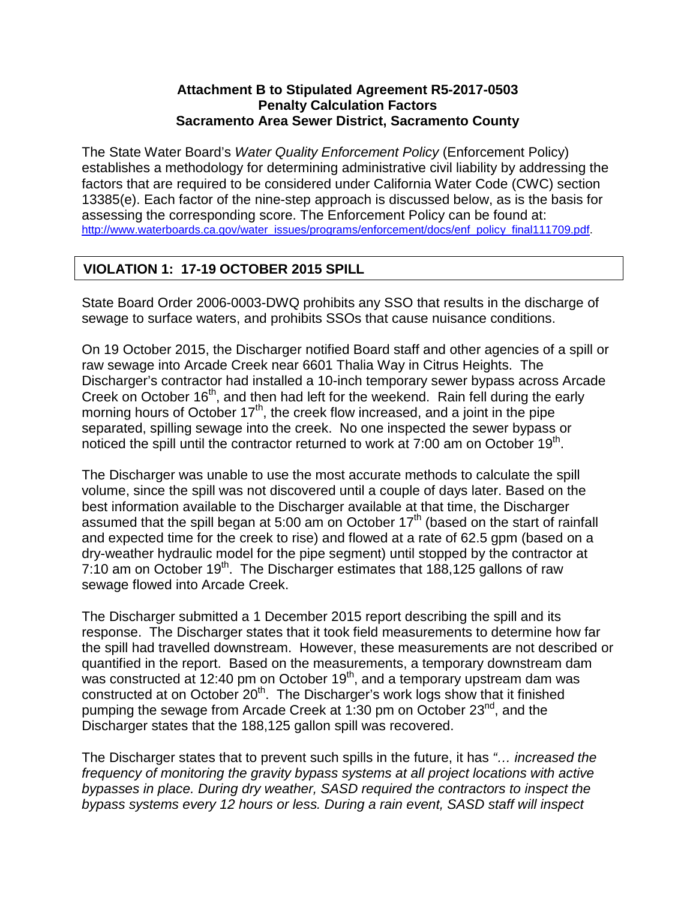### **Attachment B to Stipulated Agreement R5-2017-0503 Penalty Calculation Factors Sacramento Area Sewer District, Sacramento County**

The State Water Board's *Water Quality Enforcement Policy* (Enforcement Policy) establishes a methodology for determining administrative civil liability by addressing the factors that are required to be considered under California Water Code (CWC) section 13385(e). Each factor of the nine-step approach is discussed below, as is the basis for assessing the corresponding score. The Enforcement Policy can be found at: [http://www.waterboards.ca.gov/water\\_issues/programs/enforcement/docs/enf\\_policy\\_final111709.pdf.](http://www.waterboards.ca.gov/water_issues/programs/enforcement/docs/enf_policy_final111709.pdf)

# **VIOLATION 1: 17-19 OCTOBER 2015 SPILL**

State Board Order 2006-0003-DWQ prohibits any SSO that results in the discharge of sewage to surface waters, and prohibits SSOs that cause nuisance conditions.

On 19 October 2015, the Discharger notified Board staff and other agencies of a spill or raw sewage into Arcade Creek near 6601 Thalia Way in Citrus Heights. The Discharger's contractor had installed a 10-inch temporary sewer bypass across Arcade Creek on October 16<sup>th</sup>, and then had left for the weekend. Rain fell during the early morning hours of October 17<sup>th</sup>, the creek flow increased, and a joint in the pipe separated, spilling sewage into the creek. No one inspected the sewer bypass or noticed the spill until the contractor returned to work at  $7:00$  am on October  $19<sup>th</sup>$ .

The Discharger was unable to use the most accurate methods to calculate the spill volume, since the spill was not discovered until a couple of days later. Based on the best information available to the Discharger available at that time, the Discharger assumed that the spill began at 5:00 am on October 17<sup>th</sup> (based on the start of rainfall and expected time for the creek to rise) and flowed at a rate of 62.5 gpm (based on a dry-weather hydraulic model for the pipe segment) until stopped by the contractor at 7:10 am on October  $19<sup>th</sup>$ . The Discharger estimates that 188,125 gallons of raw sewage flowed into Arcade Creek.

The Discharger submitted a 1 December 2015 report describing the spill and its response. The Discharger states that it took field measurements to determine how far the spill had travelled downstream. However, these measurements are not described or quantified in the report. Based on the measurements, a temporary downstream dam was constructed at 12:40 pm on October  $19<sup>th</sup>$ , and a temporary upstream dam was constructed at on October  $20<sup>th</sup>$ . The Discharger's work logs show that it finished pumping the sewage from Arcade Creek at 1:30 pm on October 23<sup>nd</sup>, and the Discharger states that the 188,125 gallon spill was recovered.

The Discharger states that to prevent such spills in the future, it has *"… increased the frequency of monitoring the gravity bypass systems at all project locations with active bypasses in place. During dry weather, SASD required the contractors to inspect the bypass systems every 12 hours or less. During a rain event, SASD staff will inspect*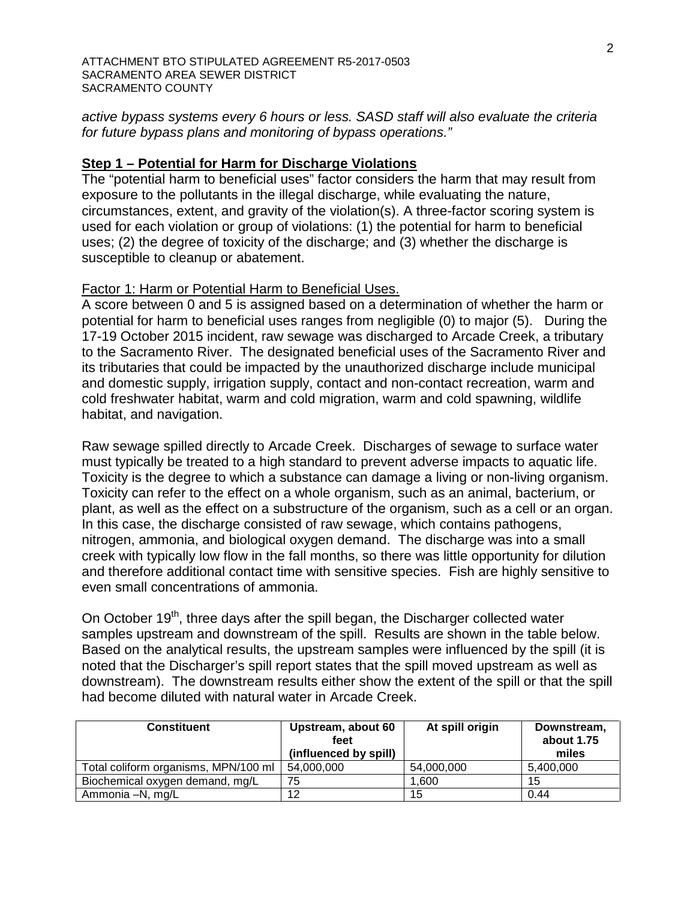*active bypass systems every 6 hours or less. SASD staff will also evaluate the criteria for future bypass plans and monitoring of bypass operations."*

### **Step 1 – Potential for Harm for Discharge Violations**

The "potential harm to beneficial uses" factor considers the harm that may result from exposure to the pollutants in the illegal discharge, while evaluating the nature, circumstances, extent, and gravity of the violation(s). A three-factor scoring system is used for each violation or group of violations: (1) the potential for harm to beneficial uses; (2) the degree of toxicity of the discharge; and (3) whether the discharge is susceptible to cleanup or abatement.

### Factor 1: Harm or Potential Harm to Beneficial Uses.

A score between 0 and 5 is assigned based on a determination of whether the harm or potential for harm to beneficial uses ranges from negligible (0) to major (5). During the 17-19 October 2015 incident, raw sewage was discharged to Arcade Creek, a tributary to the Sacramento River. The designated beneficial uses of the Sacramento River and its tributaries that could be impacted by the unauthorized discharge include municipal and domestic supply, irrigation supply, contact and non-contact recreation, warm and cold freshwater habitat, warm and cold migration, warm and cold spawning, wildlife habitat, and navigation.

Raw sewage spilled directly to Arcade Creek. Discharges of sewage to surface water must typically be treated to a high standard to prevent adverse impacts to aquatic life. Toxicity is the degree to which a substance can damage a living or non-living organism. Toxicity can refer to the effect on a whole organism, such as an animal, bacterium, or plant, as well as the effect on a substructure of the organism, such as a cell or an organ. In this case, the discharge consisted of raw sewage, which contains pathogens, nitrogen, ammonia, and biological oxygen demand. The discharge was into a small creek with typically low flow in the fall months, so there was little opportunity for dilution and therefore additional contact time with sensitive species. Fish are highly sensitive to even small concentrations of ammonia.

On October 19<sup>th</sup>, three days after the spill began, the Discharger collected water samples upstream and downstream of the spill. Results are shown in the table below. Based on the analytical results, the upstream samples were influenced by the spill (it is noted that the Discharger's spill report states that the spill moved upstream as well as downstream). The downstream results either show the extent of the spill or that the spill had become diluted with natural water in Arcade Creek.

| <b>Constituent</b>                   | Upstream, about 60<br>feet<br>(influenced by spill) | At spill origin | Downstream,<br>about 1.75<br>miles |
|--------------------------------------|-----------------------------------------------------|-----------------|------------------------------------|
| Total coliform organisms, MPN/100 ml | 54,000,000                                          | 54,000,000      | 5,400,000                          |
| Biochemical oxygen demand, mg/L      | 75                                                  | 1.600           | 15                                 |
| Ammonia -N, mg/L                     | 12                                                  | 15              | 0.44                               |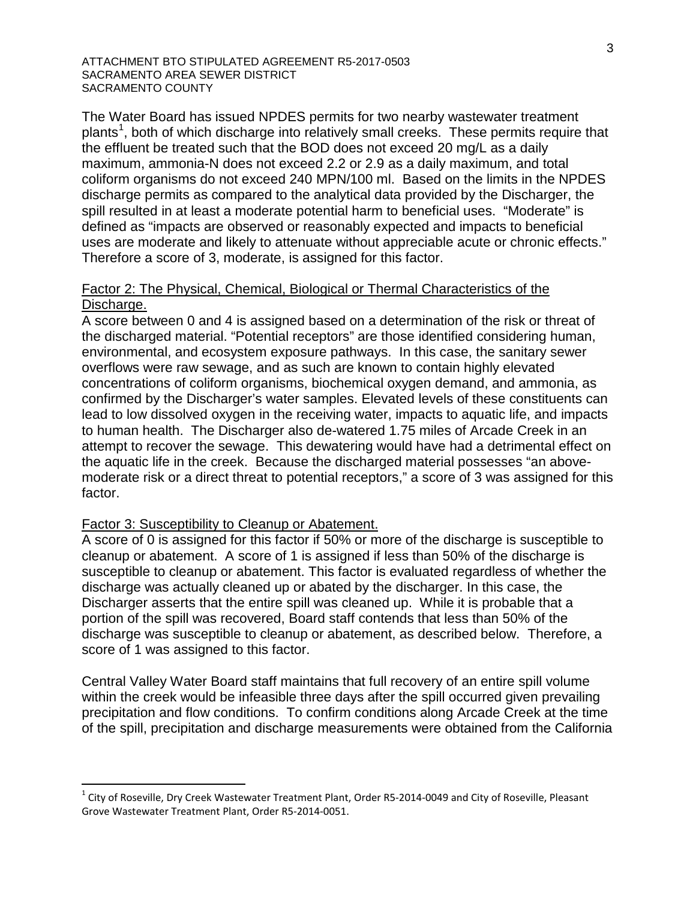The Water Board has issued NPDES permits for two nearby wastewater treatment plants<sup>[1](#page-23-0)</sup>, both of which discharge into relatively small creeks. These permits require that the effluent be treated such that the BOD does not exceed 20 mg/L as a daily maximum, ammonia-N does not exceed 2.2 or 2.9 as a daily maximum, and total coliform organisms do not exceed 240 MPN/100 ml. Based on the limits in the NPDES discharge permits as compared to the analytical data provided by the Discharger, the spill resulted in at least a moderate potential harm to beneficial uses. "Moderate" is defined as "impacts are observed or reasonably expected and impacts to beneficial uses are moderate and likely to attenuate without appreciable acute or chronic effects." Therefore a score of 3, moderate, is assigned for this factor.

### Factor 2: The Physical, Chemical, Biological or Thermal Characteristics of the Discharge.

A score between 0 and 4 is assigned based on a determination of the risk or threat of the discharged material. "Potential receptors" are those identified considering human, environmental, and ecosystem exposure pathways. In this case, the sanitary sewer overflows were raw sewage, and as such are known to contain highly elevated concentrations of coliform organisms, biochemical oxygen demand, and ammonia, as confirmed by the Discharger's water samples. Elevated levels of these constituents can lead to low dissolved oxygen in the receiving water, impacts to aquatic life, and impacts to human health. The Discharger also de-watered 1.75 miles of Arcade Creek in an attempt to recover the sewage. This dewatering would have had a detrimental effect on the aquatic life in the creek. Because the discharged material possesses "an abovemoderate risk or a direct threat to potential receptors," a score of 3 was assigned for this factor.

### Factor 3: Susceptibility to Cleanup or Abatement.

A score of 0 is assigned for this factor if 50% or more of the discharge is susceptible to cleanup or abatement. A score of 1 is assigned if less than 50% of the discharge is susceptible to cleanup or abatement. This factor is evaluated regardless of whether the discharge was actually cleaned up or abated by the discharger. In this case, the Discharger asserts that the entire spill was cleaned up. While it is probable that a portion of the spill was recovered, Board staff contends that less than 50% of the discharge was susceptible to cleanup or abatement, as described below. Therefore, a score of 1 was assigned to this factor.

Central Valley Water Board staff maintains that full recovery of an entire spill volume within the creek would be infeasible three days after the spill occurred given prevailing precipitation and flow conditions. To confirm conditions along Arcade Creek at the time of the spill, precipitation and discharge measurements were obtained from the California

<span id="page-23-0"></span> $1$  City of Roseville, Dry Creek Wastewater Treatment Plant, Order R5-2014-0049 and City of Roseville, Pleasant Grove Wastewater Treatment Plant, Order R5-2014-0051.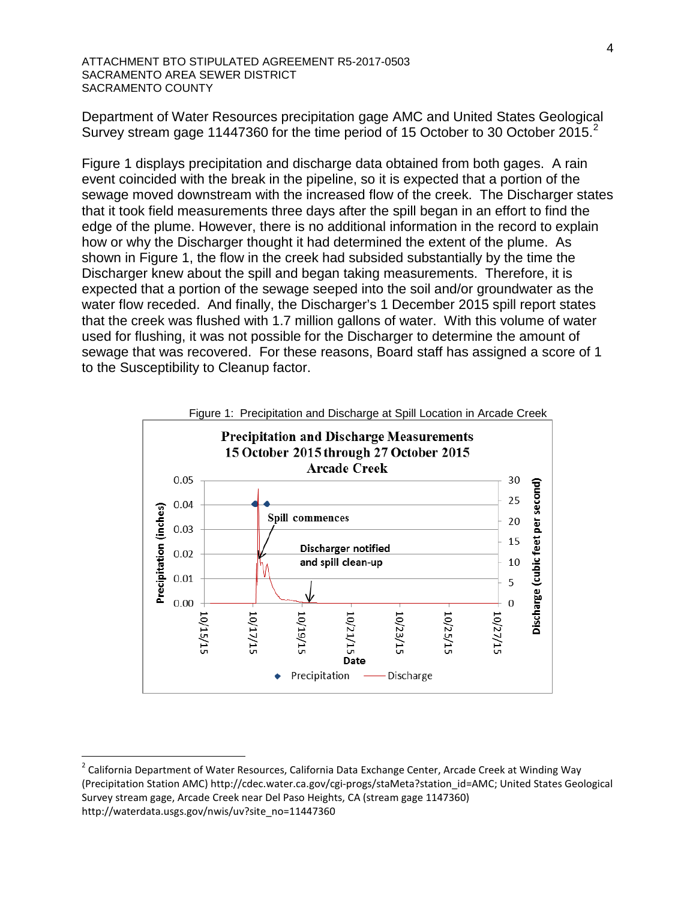Department of Water Resources precipitation gage AMC and United States Geological Survey stream gage 11447360 for the time period of 15 October to 30 October [2](#page-24-0)015. $^2$ 

Figure 1 displays precipitation and discharge data obtained from both gages. A rain event coincided with the break in the pipeline, so it is expected that a portion of the sewage moved downstream with the increased flow of the creek. The Discharger states that it took field measurements three days after the spill began in an effort to find the edge of the plume. However, there is no additional information in the record to explain how or why the Discharger thought it had determined the extent of the plume. As shown in Figure 1, the flow in the creek had subsided substantially by the time the Discharger knew about the spill and began taking measurements. Therefore, it is expected that a portion of the sewage seeped into the soil and/or groundwater as the water flow receded. And finally, the Discharger's 1 December 2015 spill report states that the creek was flushed with 1.7 million gallons of water. With this volume of water used for flushing, it was not possible for the Discharger to determine the amount of sewage that was recovered. For these reasons, Board staff has assigned a score of 1 to the Susceptibility to Cleanup factor.



<span id="page-24-0"></span><sup>&</sup>lt;sup>2</sup> California Department of Water Resources, California Data Exchange Center, Arcade Creek at Winding Way (Precipitation Station AMC) http://cdec.water.ca.gov/cgi-progs/staMeta?station\_id=AMC; United States Geological Survey stream gage, Arcade Creek near Del Paso Heights, CA (stream gage 1147360) http://waterdata.usgs.gov/nwis/uv?site\_no=11447360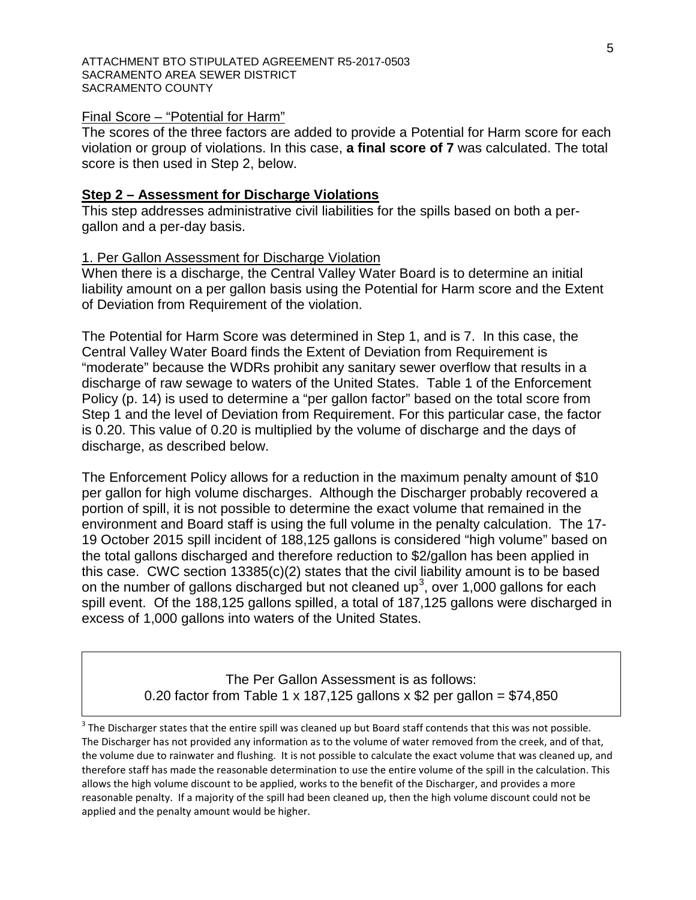#### Final Score – "Potential for Harm"

The scores of the three factors are added to provide a Potential for Harm score for each violation or group of violations. In this case, **a final score of 7** was calculated. The total score is then used in Step 2, below.

#### **Step 2 – Assessment for Discharge Violations**

This step addresses administrative civil liabilities for the spills based on both a pergallon and a per-day basis.

#### 1. Per Gallon Assessment for Discharge Violation

When there is a discharge, the Central Valley Water Board is to determine an initial liability amount on a per gallon basis using the Potential for Harm score and the Extent of Deviation from Requirement of the violation.

The Potential for Harm Score was determined in Step 1, and is 7. In this case, the Central Valley Water Board finds the Extent of Deviation from Requirement is "moderate" because the WDRs prohibit any sanitary sewer overflow that results in a discharge of raw sewage to waters of the United States. Table 1 of the Enforcement Policy (p. 14) is used to determine a "per gallon factor" based on the total score from Step 1 and the level of Deviation from Requirement. For this particular case, the factor is 0.20. This value of 0.20 is multiplied by the volume of discharge and the days of discharge, as described below.

The Enforcement Policy allows for a reduction in the maximum penalty amount of \$10 per gallon for high volume discharges. Although the Discharger probably recovered a portion of spill, it is not possible to determine the exact volume that remained in the environment and Board staff is using the full volume in the penalty calculation. The 17- 19 October 2015 spill incident of 188,125 gallons is considered "high volume" based on the total gallons discharged and therefore reduction to \$2/gallon has been applied in this case. CWC section 13385(c)(2) states that the civil liability amount is to be based on the number of gallons discharged but not cleaned up<sup>[3](#page-25-0)</sup>, over 1,000 gallons for each spill event. Of the 188,125 gallons spilled, a total of 187,125 gallons were discharged in excess of 1,000 gallons into waters of the United States.

> The Per Gallon Assessment is as follows: 0.20 factor from Table 1 x 187,125 gallons x \$2 per gallon =  $$74,850$

<span id="page-25-0"></span> $3$  The Discharger states that the entire spill was cleaned up but Board staff contends that this was not possible. The Discharger has not provided any information as to the volume of water removed from the creek, and of that, the volume due to rainwater and flushing. It is not possible to calculate the exact volume that was cleaned up, and therefore staff has made the reasonable determination to use the entire volume of the spill in the calculation. This allows the high volume discount to be applied, works to the benefit of the Discharger, and provides a more reasonable penalty. If a majority of the spill had been cleaned up, then the high volume discount could not be applied and the penalty amount would be higher.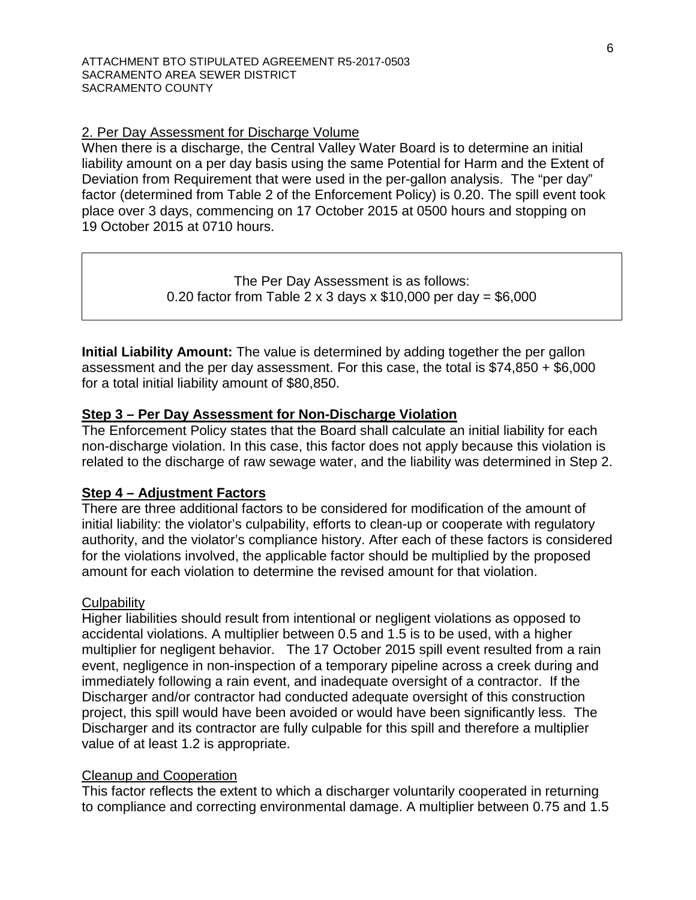### 2. Per Day Assessment for Discharge Volume

When there is a discharge, the Central Valley Water Board is to determine an initial liability amount on a per day basis using the same Potential for Harm and the Extent of Deviation from Requirement that were used in the per-gallon analysis. The "per day" factor (determined from Table 2 of the Enforcement Policy) is 0.20. The spill event took place over 3 days, commencing on 17 October 2015 at 0500 hours and stopping on 19 October 2015 at 0710 hours.

> The Per Day Assessment is as follows: 0.20 factor from Table 2 x 3 days x  $$10,000$  per day =  $$6,000$

**Initial Liability Amount:** The value is determined by adding together the per gallon assessment and the per day assessment. For this case, the total is \$74,850 + \$6,000 for a total initial liability amount of \$80,850.

### **Step 3 – Per Day Assessment for Non-Discharge Violation**

The Enforcement Policy states that the Board shall calculate an initial liability for each non-discharge violation. In this case, this factor does not apply because this violation is related to the discharge of raw sewage water, and the liability was determined in Step 2.

### **Step 4 – Adjustment Factors**

There are three additional factors to be considered for modification of the amount of initial liability: the violator's culpability, efforts to clean-up or cooperate with regulatory authority, and the violator's compliance history. After each of these factors is considered for the violations involved, the applicable factor should be multiplied by the proposed amount for each violation to determine the revised amount for that violation.

### **Culpability**

Higher liabilities should result from intentional or negligent violations as opposed to accidental violations. A multiplier between 0.5 and 1.5 is to be used, with a higher multiplier for negligent behavior. The 17 October 2015 spill event resulted from a rain event, negligence in non-inspection of a temporary pipeline across a creek during and immediately following a rain event, and inadequate oversight of a contractor. If the Discharger and/or contractor had conducted adequate oversight of this construction project, this spill would have been avoided or would have been significantly less. The Discharger and its contractor are fully culpable for this spill and therefore a multiplier value of at least 1.2 is appropriate.

### Cleanup and Cooperation

This factor reflects the extent to which a discharger voluntarily cooperated in returning to compliance and correcting environmental damage. A multiplier between 0.75 and 1.5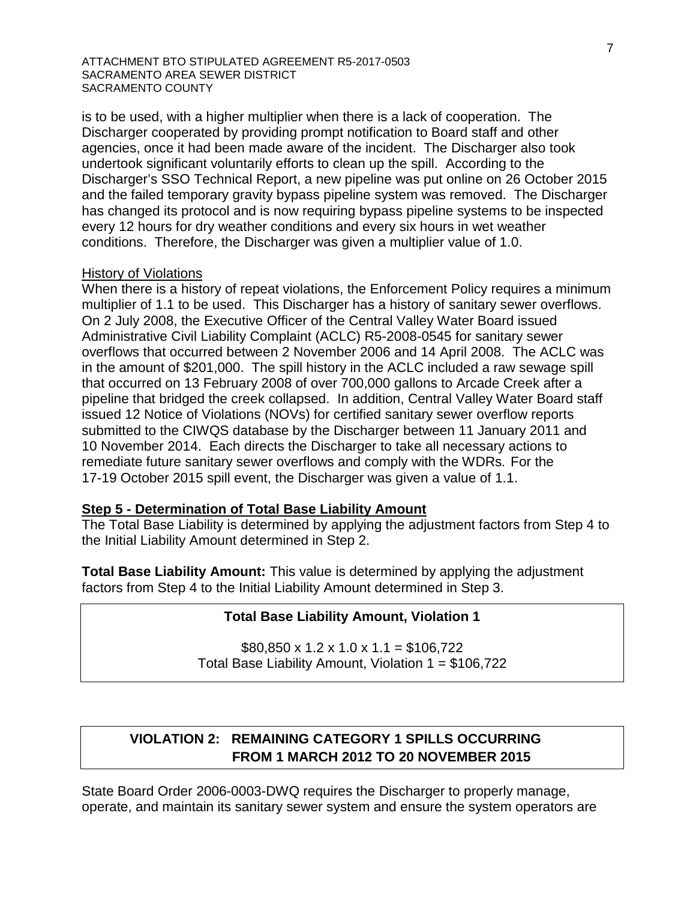is to be used, with a higher multiplier when there is a lack of cooperation. The Discharger cooperated by providing prompt notification to Board staff and other agencies, once it had been made aware of the incident. The Discharger also took undertook significant voluntarily efforts to clean up the spill. According to the Discharger's SSO Technical Report, a new pipeline was put online on 26 October 2015 and the failed temporary gravity bypass pipeline system was removed. The Discharger has changed its protocol and is now requiring bypass pipeline systems to be inspected every 12 hours for dry weather conditions and every six hours in wet weather conditions. Therefore, the Discharger was given a multiplier value of 1.0.

#### History of Violations

When there is a history of repeat violations, the Enforcement Policy requires a minimum multiplier of 1.1 to be used. This Discharger has a history of sanitary sewer overflows. On 2 July 2008, the Executive Officer of the Central Valley Water Board issued Administrative Civil Liability Complaint (ACLC) R5-2008-0545 for sanitary sewer overflows that occurred between 2 November 2006 and 14 April 2008. The ACLC was in the amount of \$201,000. The spill history in the ACLC included a raw sewage spill that occurred on 13 February 2008 of over 700,000 gallons to Arcade Creek after a pipeline that bridged the creek collapsed. In addition, Central Valley Water Board staff issued 12 Notice of Violations (NOVs) for certified sanitary sewer overflow reports submitted to the CIWQS database by the Discharger between 11 January 2011 and 10 November 2014. Each directs the Discharger to take all necessary actions to remediate future sanitary sewer overflows and comply with the WDRs. For the 17-19 October 2015 spill event, the Discharger was given a value of 1.1.

## **Step 5 - Determination of Total Base Liability Amount**

The Total Base Liability is determined by applying the adjustment factors from Step 4 to the Initial Liability Amount determined in Step 2.

**Total Base Liability Amount:** This value is determined by applying the adjustment factors from Step 4 to the Initial Liability Amount determined in Step 3.

### **Total Base Liability Amount, Violation 1**

 $$80,850 \times 1.2 \times 1.0 \times 1.1 = $106,722$ Total Base Liability Amount, Violation 1 = \$106,722

# **VIOLATION 2: REMAINING CATEGORY 1 SPILLS OCCURRING FROM 1 MARCH 2012 TO 20 NOVEMBER 2015**

State Board Order 2006-0003-DWQ requires the Discharger to properly manage, operate, and maintain its sanitary sewer system and ensure the system operators are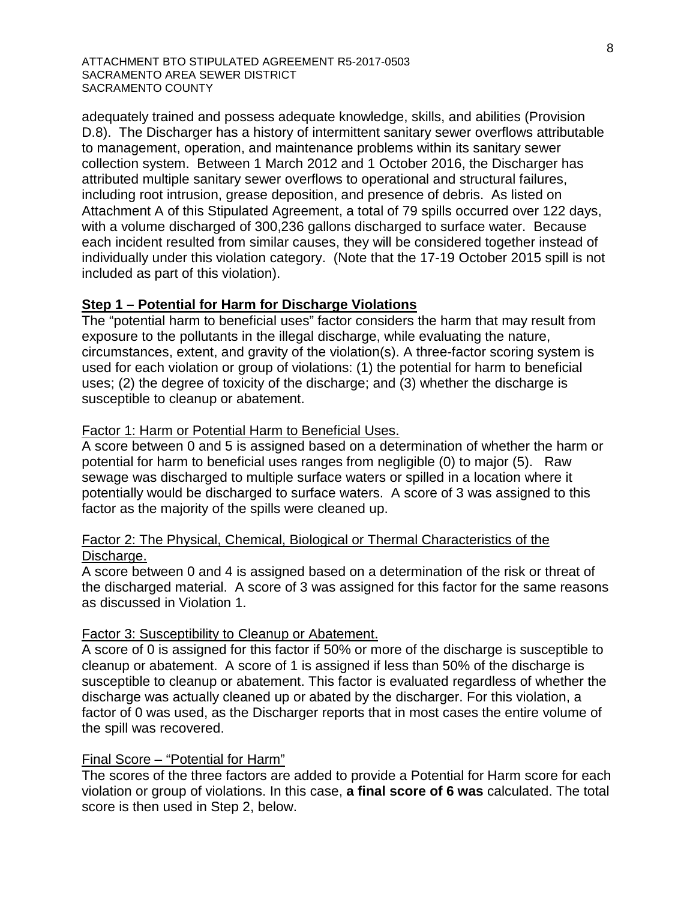adequately trained and possess adequate knowledge, skills, and abilities (Provision D.8). The Discharger has a history of intermittent sanitary sewer overflows attributable to management, operation, and maintenance problems within its sanitary sewer collection system. Between 1 March 2012 and 1 October 2016, the Discharger has attributed multiple sanitary sewer overflows to operational and structural failures, including root intrusion, grease deposition, and presence of debris. As listed on Attachment A of this Stipulated Agreement, a total of 79 spills occurred over 122 days, with a volume discharged of 300,236 gallons discharged to surface water. Because each incident resulted from similar causes, they will be considered together instead of individually under this violation category. (Note that the 17-19 October 2015 spill is not included as part of this violation).

### **Step 1 – Potential for Harm for Discharge Violations**

The "potential harm to beneficial uses" factor considers the harm that may result from exposure to the pollutants in the illegal discharge, while evaluating the nature, circumstances, extent, and gravity of the violation(s). A three-factor scoring system is used for each violation or group of violations: (1) the potential for harm to beneficial uses; (2) the degree of toxicity of the discharge; and (3) whether the discharge is susceptible to cleanup or abatement.

#### Factor 1: Harm or Potential Harm to Beneficial Uses.

A score between 0 and 5 is assigned based on a determination of whether the harm or potential for harm to beneficial uses ranges from negligible (0) to major (5). Raw sewage was discharged to multiple surface waters or spilled in a location where it potentially would be discharged to surface waters. A score of 3 was assigned to this factor as the majority of the spills were cleaned up.

### Factor 2: The Physical, Chemical, Biological or Thermal Characteristics of the Discharge.

A score between 0 and 4 is assigned based on a determination of the risk or threat of the discharged material. A score of 3 was assigned for this factor for the same reasons as discussed in Violation 1.

#### Factor 3: Susceptibility to Cleanup or Abatement.

A score of 0 is assigned for this factor if 50% or more of the discharge is susceptible to cleanup or abatement. A score of 1 is assigned if less than 50% of the discharge is susceptible to cleanup or abatement. This factor is evaluated regardless of whether the discharge was actually cleaned up or abated by the discharger. For this violation, a factor of 0 was used, as the Discharger reports that in most cases the entire volume of the spill was recovered.

#### Final Score – "Potential for Harm"

The scores of the three factors are added to provide a Potential for Harm score for each violation or group of violations. In this case, **a final score of 6 was** calculated. The total score is then used in Step 2, below.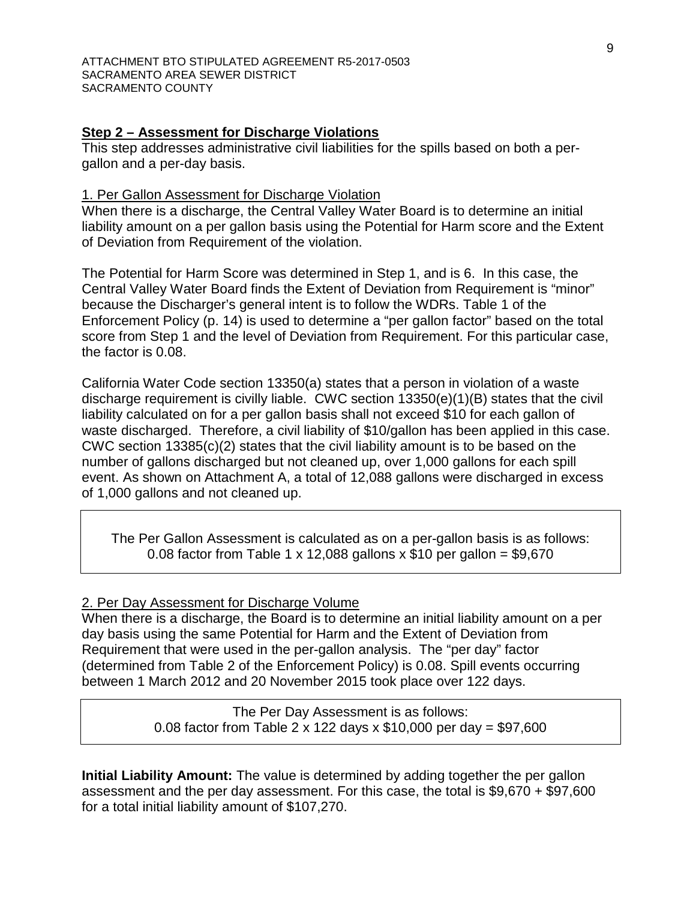### **Step 2 – Assessment for Discharge Violations**

This step addresses administrative civil liabilities for the spills based on both a pergallon and a per-day basis.

#### 1. Per Gallon Assessment for Discharge Violation

When there is a discharge, the Central Valley Water Board is to determine an initial liability amount on a per gallon basis using the Potential for Harm score and the Extent of Deviation from Requirement of the violation.

The Potential for Harm Score was determined in Step 1, and is 6. In this case, the Central Valley Water Board finds the Extent of Deviation from Requirement is "minor" because the Discharger's general intent is to follow the WDRs. Table 1 of the Enforcement Policy (p. 14) is used to determine a "per gallon factor" based on the total score from Step 1 and the level of Deviation from Requirement. For this particular case, the factor is 0.08.

California Water Code section 13350(a) states that a person in violation of a waste discharge requirement is civilly liable. CWC section 13350(e)(1)(B) states that the civil liability calculated on for a per gallon basis shall not exceed \$10 for each gallon of waste discharged. Therefore, a civil liability of \$10/gallon has been applied in this case. CWC section 13385(c)(2) states that the civil liability amount is to be based on the number of gallons discharged but not cleaned up, over 1,000 gallons for each spill event. As shown on Attachment A, a total of 12,088 gallons were discharged in excess of 1,000 gallons and not cleaned up.

The Per Gallon Assessment is calculated as on a per-gallon basis is as follows: 0.08 factor from Table 1 x 12,088 gallons x \$10 per gallon =  $$9,670$ 

### 2. Per Day Assessment for Discharge Volume

When there is a discharge, the Board is to determine an initial liability amount on a per day basis using the same Potential for Harm and the Extent of Deviation from Requirement that were used in the per-gallon analysis. The "per day" factor (determined from Table 2 of the Enforcement Policy) is 0.08. Spill events occurring between 1 March 2012 and 20 November 2015 took place over 122 days.

> The Per Day Assessment is as follows: 0.08 factor from Table 2 x 122 days x \$10,000 per day = \$97,600

**Initial Liability Amount:** The value is determined by adding together the per gallon assessment and the per day assessment. For this case, the total is \$9,670 + \$97,600 for a total initial liability amount of \$107,270.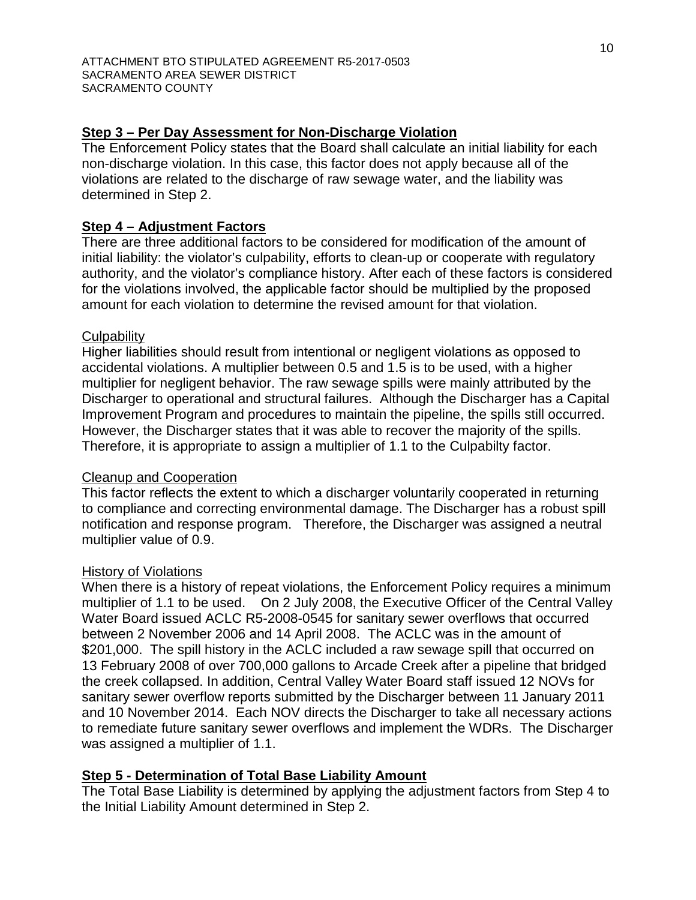### **Step 3 – Per Day Assessment for Non-Discharge Violation**

The Enforcement Policy states that the Board shall calculate an initial liability for each non-discharge violation. In this case, this factor does not apply because all of the violations are related to the discharge of raw sewage water, and the liability was determined in Step 2.

### **Step 4 – Adjustment Factors**

There are three additional factors to be considered for modification of the amount of initial liability: the violator's culpability, efforts to clean-up or cooperate with regulatory authority, and the violator's compliance history. After each of these factors is considered for the violations involved, the applicable factor should be multiplied by the proposed amount for each violation to determine the revised amount for that violation.

### **Culpability**

Higher liabilities should result from intentional or negligent violations as opposed to accidental violations. A multiplier between 0.5 and 1.5 is to be used, with a higher multiplier for negligent behavior. The raw sewage spills were mainly attributed by the Discharger to operational and structural failures. Although the Discharger has a Capital Improvement Program and procedures to maintain the pipeline, the spills still occurred. However, the Discharger states that it was able to recover the majority of the spills. Therefore, it is appropriate to assign a multiplier of 1.1 to the Culpabilty factor.

### Cleanup and Cooperation

This factor reflects the extent to which a discharger voluntarily cooperated in returning to compliance and correcting environmental damage. The Discharger has a robust spill notification and response program. Therefore, the Discharger was assigned a neutral multiplier value of 0.9.

### History of Violations

When there is a history of repeat violations, the Enforcement Policy requires a minimum multiplier of 1.1 to be used. On 2 July 2008, the Executive Officer of the Central Valley Water Board issued ACLC R5-2008-0545 for sanitary sewer overflows that occurred between 2 November 2006 and 14 April 2008. The ACLC was in the amount of \$201,000. The spill history in the ACLC included a raw sewage spill that occurred on 13 February 2008 of over 700,000 gallons to Arcade Creek after a pipeline that bridged the creek collapsed. In addition, Central Valley Water Board staff issued 12 NOVs for sanitary sewer overflow reports submitted by the Discharger between 11 January 2011 and 10 November 2014. Each NOV directs the Discharger to take all necessary actions to remediate future sanitary sewer overflows and implement the WDRs. The Discharger was assigned a multiplier of 1.1.

### **Step 5 - Determination of Total Base Liability Amount**

The Total Base Liability is determined by applying the adjustment factors from Step 4 to the Initial Liability Amount determined in Step 2.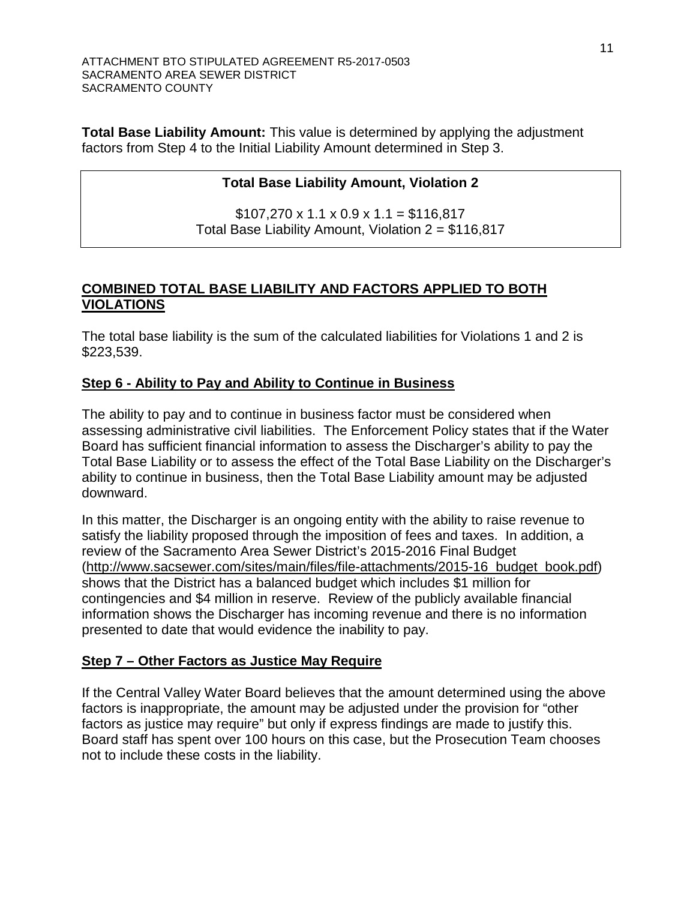**Total Base Liability Amount:** This value is determined by applying the adjustment factors from Step 4 to the Initial Liability Amount determined in Step 3.

# **Total Base Liability Amount, Violation 2**

 $$107,270 \times 1.1 \times 0.9 \times 1.1 = $116,817$ Total Base Liability Amount, Violation 2 = \$116,817

# **COMBINED TOTAL BASE LIABILITY AND FACTORS APPLIED TO BOTH VIOLATIONS**

The total base liability is the sum of the calculated liabilities for Violations 1 and 2 is \$223,539.

# **Step 6 - Ability to Pay and Ability to Continue in Business**

The ability to pay and to continue in business factor must be considered when assessing administrative civil liabilities. The Enforcement Policy states that if the Water Board has sufficient financial information to assess the Discharger's ability to pay the Total Base Liability or to assess the effect of the Total Base Liability on the Discharger's ability to continue in business, then the Total Base Liability amount may be adjusted downward.

In this matter, the Discharger is an ongoing entity with the ability to raise revenue to satisfy the liability proposed through the imposition of fees and taxes. In addition, a review of the Sacramento Area Sewer District's 2015-2016 Final Budget [\(http://www.sacsewer.com/sites/main/files/file-attachments/2015-16\\_budget\\_book.pdf\)](http://www.sacsewer.com/sites/main/files/file-attachments/2015-16_budget_book.pdf) shows that the District has a balanced budget which includes \$1 million for contingencies and \$4 million in reserve. Review of the publicly available financial information shows the Discharger has incoming revenue and there is no information presented to date that would evidence the inability to pay.

# **Step 7 – Other Factors as Justice May Require**

If the Central Valley Water Board believes that the amount determined using the above factors is inappropriate, the amount may be adjusted under the provision for "other factors as justice may require" but only if express findings are made to justify this. Board staff has spent over 100 hours on this case, but the Prosecution Team chooses not to include these costs in the liability.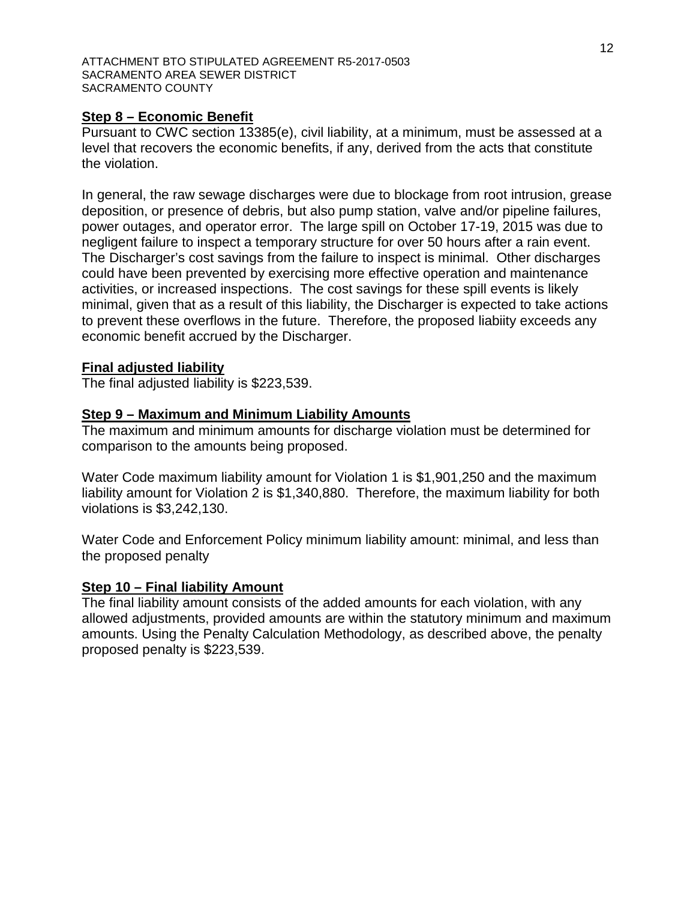### **Step 8 – Economic Benefit**

Pursuant to CWC section 13385(e), civil liability, at a minimum, must be assessed at a level that recovers the economic benefits, if any, derived from the acts that constitute the violation.

In general, the raw sewage discharges were due to blockage from root intrusion, grease deposition, or presence of debris, but also pump station, valve and/or pipeline failures, power outages, and operator error. The large spill on October 17-19, 2015 was due to negligent failure to inspect a temporary structure for over 50 hours after a rain event. The Discharger's cost savings from the failure to inspect is minimal. Other discharges could have been prevented by exercising more effective operation and maintenance activities, or increased inspections. The cost savings for these spill events is likely minimal, given that as a result of this liability, the Discharger is expected to take actions to prevent these overflows in the future. Therefore, the proposed liabiity exceeds any economic benefit accrued by the Discharger.

### **Final adjusted liability**

The final adjusted liability is \$223,539.

### **Step 9 – Maximum and Minimum Liability Amounts**

The maximum and minimum amounts for discharge violation must be determined for comparison to the amounts being proposed.

Water Code maximum liability amount for Violation 1 is \$1,901,250 and the maximum liability amount for Violation 2 is \$1,340,880. Therefore, the maximum liability for both violations is \$3,242,130.

Water Code and Enforcement Policy minimum liability amount: minimal, and less than the proposed penalty

### **Step 10 – Final liability Amount**

The final liability amount consists of the added amounts for each violation, with any allowed adjustments, provided amounts are within the statutory minimum and maximum amounts. Using the Penalty Calculation Methodology, as described above, the penalty proposed penalty is \$223,539.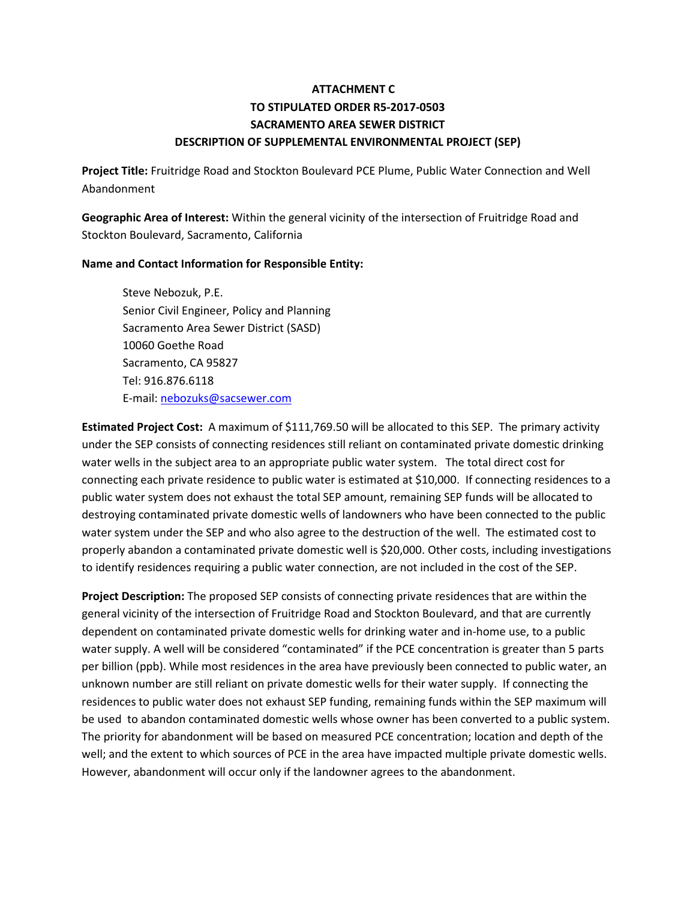# **ATTACHMENT C TO STIPULATED ORDER R5-2017-0503 SACRAMENTO AREA SEWER DISTRICT DESCRIPTION OF SUPPLEMENTAL ENVIRONMENTAL PROJECT (SEP)**

**Project Title:** Fruitridge Road and Stockton Boulevard PCE Plume, Public Water Connection and Well Abandonment

**Geographic Area of Interest:** Within the general vicinity of the intersection of Fruitridge Road and Stockton Boulevard, Sacramento, California

#### **Name and Contact Information for Responsible Entity:**

Steve Nebozuk, P.E. Senior Civil Engineer, Policy and Planning Sacramento Area Sewer District (SASD) 10060 Goethe Road Sacramento, CA 95827 Tel: 916.876.6118 E-mail: [nebozuks@sacsewer.com](mailto:nebozuks@sacsewer.com)

**Estimated Project Cost:** A maximum of \$111,769.50 will be allocated to this SEP. The primary activity under the SEP consists of connecting residences still reliant on contaminated private domestic drinking water wells in the subject area to an appropriate public water system. The total direct cost for connecting each private residence to public water is estimated at \$10,000. If connecting residences to a public water system does not exhaust the total SEP amount, remaining SEP funds will be allocated to destroying contaminated private domestic wells of landowners who have been connected to the public water system under the SEP and who also agree to the destruction of the well. The estimated cost to properly abandon a contaminated private domestic well is \$20,000. Other costs, including investigations to identify residences requiring a public water connection, are not included in the cost of the SEP.

**Project Description:** The proposed SEP consists of connecting private residences that are within the general vicinity of the intersection of Fruitridge Road and Stockton Boulevard, and that are currently dependent on contaminated private domestic wells for drinking water and in-home use, to a public water supply. A well will be considered "contaminated" if the PCE concentration is greater than 5 parts per billion (ppb). While most residences in the area have previously been connected to public water, an unknown number are still reliant on private domestic wells for their water supply. If connecting the residences to public water does not exhaust SEP funding, remaining funds within the SEP maximum will be used to abandon contaminated domestic wells whose owner has been converted to a public system. The priority for abandonment will be based on measured PCE concentration; location and depth of the well; and the extent to which sources of PCE in the area have impacted multiple private domestic wells. However, abandonment will occur only if the landowner agrees to the abandonment.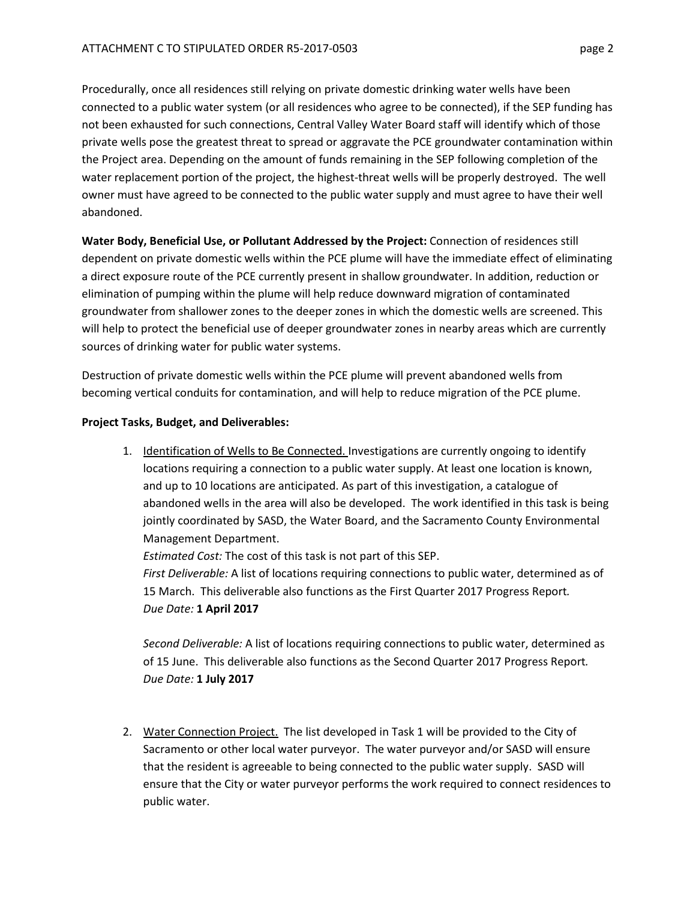Procedurally, once all residences still relying on private domestic drinking water wells have been connected to a public water system (or all residences who agree to be connected), if the SEP funding has not been exhausted for such connections, Central Valley Water Board staff will identify which of those private wells pose the greatest threat to spread or aggravate the PCE groundwater contamination within the Project area. Depending on the amount of funds remaining in the SEP following completion of the water replacement portion of the project, the highest-threat wells will be properly destroyed. The well owner must have agreed to be connected to the public water supply and must agree to have their well abandoned.

**Water Body, Beneficial Use, or Pollutant Addressed by the Project:** Connection of residences still dependent on private domestic wells within the PCE plume will have the immediate effect of eliminating a direct exposure route of the PCE currently present in shallow groundwater. In addition, reduction or elimination of pumping within the plume will help reduce downward migration of contaminated groundwater from shallower zones to the deeper zones in which the domestic wells are screened. This will help to protect the beneficial use of deeper groundwater zones in nearby areas which are currently sources of drinking water for public water systems.

Destruction of private domestic wells within the PCE plume will prevent abandoned wells from becoming vertical conduits for contamination, and will help to reduce migration of the PCE plume.

### **Project Tasks, Budget, and Deliverables:**

1. Identification of Wells to Be Connected. Investigations are currently ongoing to identify locations requiring a connection to a public water supply. At least one location is known, and up to 10 locations are anticipated. As part of this investigation, a catalogue of abandoned wells in the area will also be developed. The work identified in this task is being jointly coordinated by SASD, the Water Board, and the Sacramento County Environmental Management Department.

*Estimated Cost:* The cost of this task is not part of this SEP.

*First Deliverable:* A list of locations requiring connections to public water, determined as of 15 March. This deliverable also functions as the First Quarter 2017 Progress Report*. Due Date:* **1 April 2017**

*Second Deliverable:* A list of locations requiring connections to public water, determined as of 15 June. This deliverable also functions as the Second Quarter 2017 Progress Report*. Due Date:* **1 July 2017**

2. Water Connection Project. The list developed in Task 1 will be provided to the City of Sacramento or other local water purveyor. The water purveyor and/or SASD will ensure that the resident is agreeable to being connected to the public water supply. SASD will ensure that the City or water purveyor performs the work required to connect residences to public water.